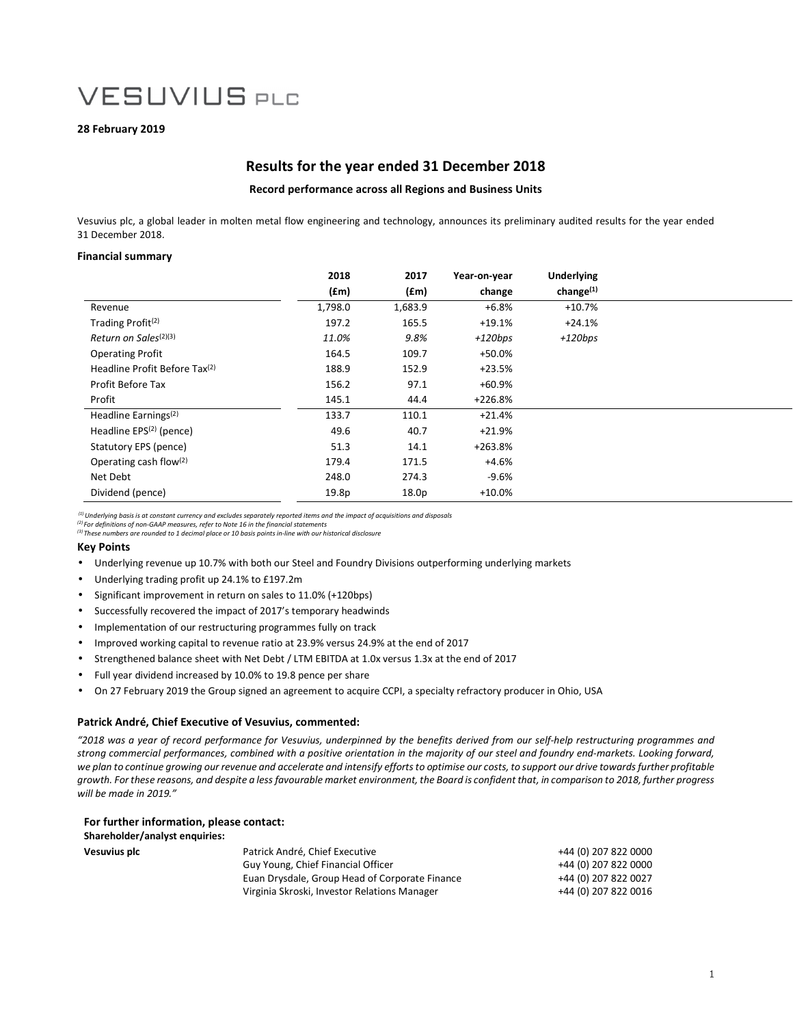## **28 February 2019**

### **Results for the year ended 31 December 2018**

### **Record performance across all Regions and Business Units**

Vesuvius plc, a global leader in molten metal flow engineering and technology, announces its preliminary audited results for the year ended 31 December 2018.

### **Financial summary**

|                                           | 2018    | 2017              | Year-on-year | <b>Underlying</b>     |  |
|-------------------------------------------|---------|-------------------|--------------|-----------------------|--|
|                                           | (fm)    | (fm)              | change       | change <sup>(1)</sup> |  |
| Revenue                                   | 1,798.0 | 1,683.9           | $+6.8%$      | $+10.7%$              |  |
| Trading Profit <sup>(2)</sup>             | 197.2   | 165.5             | $+19.1%$     | $+24.1%$              |  |
| Return on Sales <sup>(2)(3)</sup>         | 11.0%   | 9.8%              | $+120bps$    | $+120bps$             |  |
| <b>Operating Profit</b>                   | 164.5   | 109.7             | +50.0%       |                       |  |
| Headline Profit Before Tax <sup>(2)</sup> | 188.9   | 152.9             | $+23.5%$     |                       |  |
| Profit Before Tax                         | 156.2   | 97.1              | $+60.9%$     |                       |  |
| Profit                                    | 145.1   | 44.4              | $+226.8%$    |                       |  |
| Headline Earnings <sup>(2)</sup>          | 133.7   | 110.1             | $+21.4%$     |                       |  |
| Headline $EPS(2)$ (pence)                 | 49.6    | 40.7              | $+21.9%$     |                       |  |
| Statutory EPS (pence)                     | 51.3    | 14.1              | $+263.8%$    |                       |  |
| Operating cash flow $(2)$                 | 179.4   | 171.5             | +4.6%        |                       |  |
| Net Debt                                  | 248.0   | 274.3             | -9.6%        |                       |  |
| Dividend (pence)                          | 19.8p   | 18.0 <sub>p</sub> | $+10.0%$     |                       |  |

 *(1) Underlying basis is at constant currency and excludes separately reported items and the impact of acquisitions and disposals* 

*(2) For definitions of non-GAAP measures, refer to Note 16 in the financial statements* 

*(3) These numbers are rounded to 1 decimal place or 10 basis points in-line with our historical disclosure*

### **Key Points**

- Underlying revenue up 10.7% with both our Steel and Foundry Divisions outperforming underlying markets
- Underlying trading profit up 24.1% to £197.2m
- Significant improvement in return on sales to 11.0% (+120bps)
- Successfully recovered the impact of 2017's temporary headwinds
- Implementation of our restructuring programmes fully on track
- Improved working capital to revenue ratio at 23.9% versus 24.9% at the end of 2017
- Strengthened balance sheet with Net Debt / LTM EBITDA at 1.0x versus 1.3x at the end of 2017
- Full year dividend increased by 10.0% to 19.8 pence per share
- On 27 February 2019 the Group signed an agreement to acquire CCPI, a specialty refractory producer in Ohio, USA

#### **Patrick André, Chief Executive of Vesuvius, commented:**

*"2018 was a year of record performance for Vesuvius, underpinned by the benefits derived from our self-help restructuring programmes and strong commercial performances, combined with a positive orientation in the majority of our steel and foundry end-markets. Looking forward, we plan to continue growing our revenue and accelerate and intensify efforts to optimise our costs, to support our drive towards further profitable growth. For these reasons, and despite a less favourable market environment, the Board is confident that, in comparison to 2018, further progress will be made in 2019."* 

| For further information, please contact: |                                                |                      |
|------------------------------------------|------------------------------------------------|----------------------|
| Shareholder/analyst enquiries:           |                                                |                      |
| <b>Vesuvius plc</b>                      | Patrick André, Chief Executive                 | +44 (0) 207 822 0000 |
|                                          | Guy Young, Chief Financial Officer             | +44 (0) 207 822 0000 |
|                                          | Euan Drysdale, Group Head of Corporate Finance | +44 (0) 207 822 0027 |
|                                          | Virginia Skroski, Investor Relations Manager   | +44 (0) 207 822 0016 |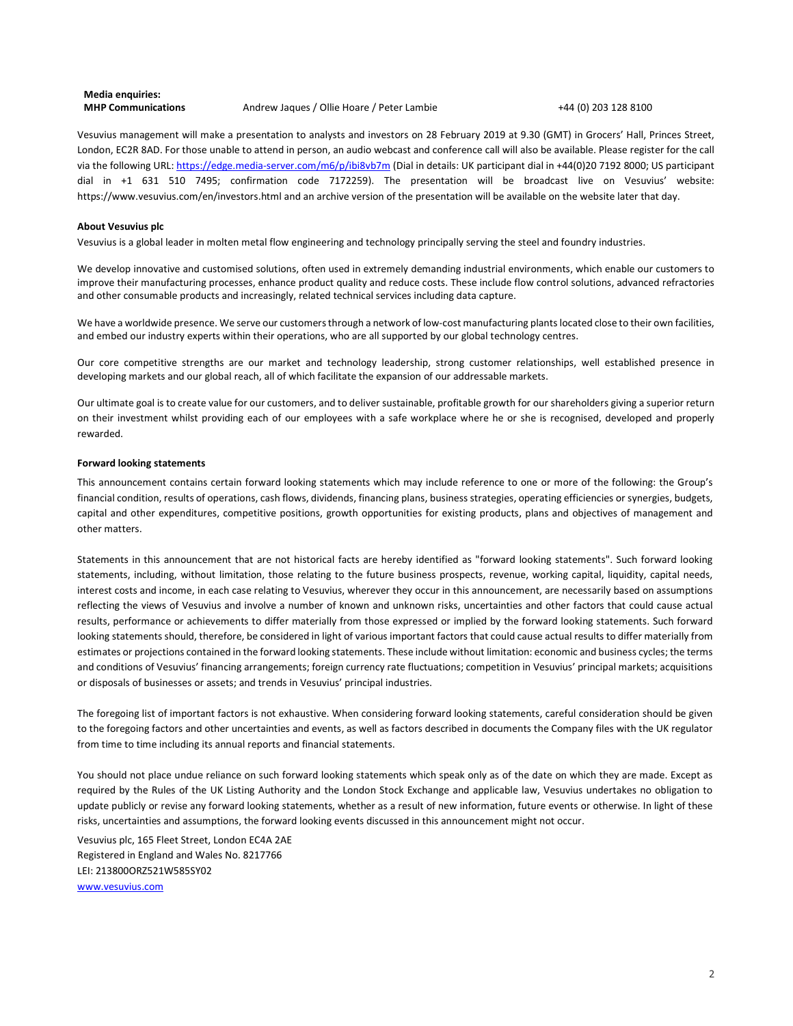### **Media enquiries: MHP Communications** Andrew Jaques / Ollie Hoare / Peter Lambie +44 (0) 203 128 8100

Vesuvius management will make a presentation to analysts and investors on 28 February 2019 at 9.30 (GMT) in Grocers' Hall, Princes Street, London, EC2R 8AD. For those unable to attend in person, an audio webcast and conference call will also be available. Please register for the call via the following URL: https://edge.media-server.com/m6/p/ibi8vb7m (Dial in details: UK participant dial in +44(0)20 7192 8000; US participant dial in +1 631 510 7495; confirmation code 7172259). The presentation will be broadcast live on Vesuvius' website: https://www.vesuvius.com/en/investors.html and an archive version of the presentation will be available on the website later that day.

#### **About Vesuvius plc**

Vesuvius is a global leader in molten metal flow engineering and technology principally serving the steel and foundry industries.

We develop innovative and customised solutions, often used in extremely demanding industrial environments, which enable our customers to improve their manufacturing processes, enhance product quality and reduce costs. These include flow control solutions, advanced refractories and other consumable products and increasingly, related technical services including data capture.

We have a worldwide presence. We serve our customers through a network of low-cost manufacturing plants located close to their own facilities, and embed our industry experts within their operations, who are all supported by our global technology centres.

Our core competitive strengths are our market and technology leadership, strong customer relationships, well established presence in developing markets and our global reach, all of which facilitate the expansion of our addressable markets.

Our ultimate goal is to create value for our customers, and to deliver sustainable, profitable growth for our shareholders giving a superior return on their investment whilst providing each of our employees with a safe workplace where he or she is recognised, developed and properly rewarded.

#### **Forward looking statements**

This announcement contains certain forward looking statements which may include reference to one or more of the following: the Group's financial condition, results of operations, cash flows, dividends, financing plans, business strategies, operating efficiencies or synergies, budgets, capital and other expenditures, competitive positions, growth opportunities for existing products, plans and objectives of management and other matters.

Statements in this announcement that are not historical facts are hereby identified as "forward looking statements". Such forward looking statements, including, without limitation, those relating to the future business prospects, revenue, working capital, liquidity, capital needs, interest costs and income, in each case relating to Vesuvius, wherever they occur in this announcement, are necessarily based on assumptions reflecting the views of Vesuvius and involve a number of known and unknown risks, uncertainties and other factors that could cause actual results, performance or achievements to differ materially from those expressed or implied by the forward looking statements. Such forward looking statements should, therefore, be considered in light of various important factors that could cause actual results to differ materially from estimates or projections contained in the forward looking statements. These include without limitation: economic and business cycles; the terms and conditions of Vesuvius' financing arrangements; foreign currency rate fluctuations; competition in Vesuvius' principal markets; acquisitions or disposals of businesses or assets; and trends in Vesuvius' principal industries.

The foregoing list of important factors is not exhaustive. When considering forward looking statements, careful consideration should be given to the foregoing factors and other uncertainties and events, as well as factors described in documents the Company files with the UK regulator from time to time including its annual reports and financial statements.

You should not place undue reliance on such forward looking statements which speak only as of the date on which they are made. Except as required by the Rules of the UK Listing Authority and the London Stock Exchange and applicable law, Vesuvius undertakes no obligation to update publicly or revise any forward looking statements, whether as a result of new information, future events or otherwise. In light of these risks, uncertainties and assumptions, the forward looking events discussed in this announcement might not occur.

Vesuvius plc, 165 Fleet Street, London EC4A 2AE Registered in England and Wales No. 8217766 LEI: 213800ORZ521W585SY02 www.vesuvius.com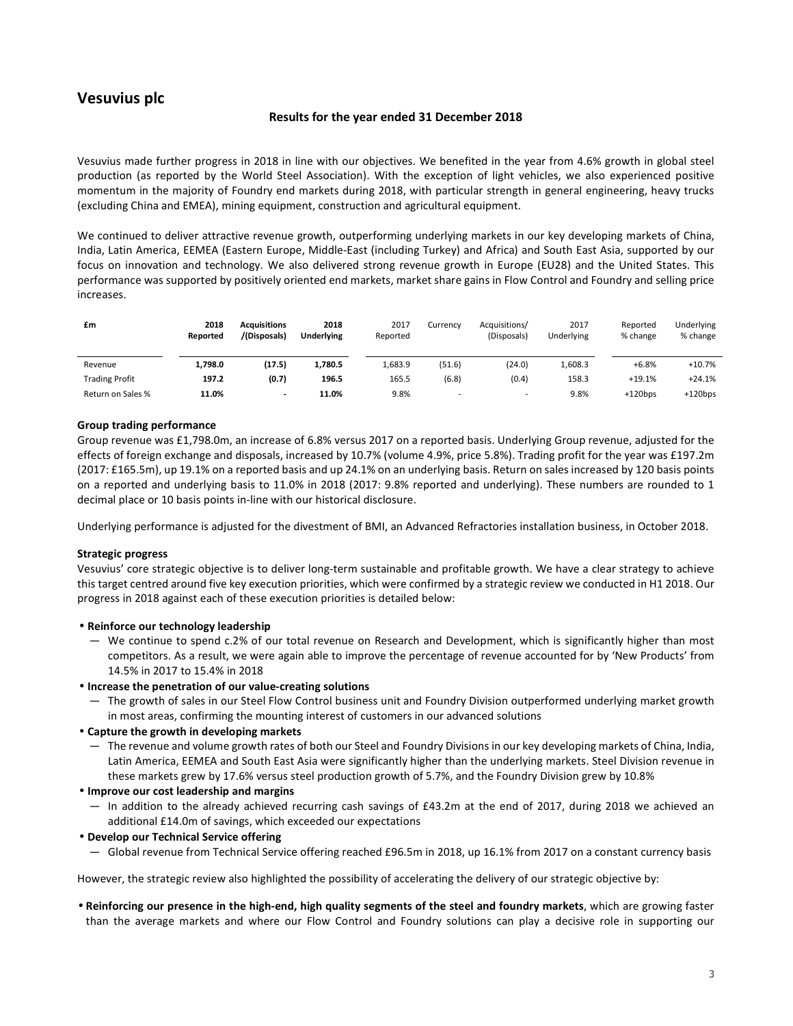### **Vesuvius plc**

### **Results for the year ended 31 December 2018**

Vesuvius made further progress in 2018 in line with our objectives. We benefited in the year from 4.6% growth in global steel production (as reported by the World Steel Association). With the exception of light vehicles, we also experienced positive momentum in the majority of Foundry end markets during 2018, with particular strength in general engineering, heavy trucks (excluding China and EMEA), mining equipment, construction and agricultural equipment.

We continued to deliver attractive revenue growth, outperforming underlying markets in our key developing markets of China, India, Latin America, EEMEA (Eastern Europe, Middle-East (including Turkey) and Africa) and South East Asia, supported by our focus on innovation and technology. We also delivered strong revenue growth in Europe (EU28) and the United States. This performance was supported by positively oriented end markets, market share gains in Flow Control and Foundry and selling price increases.

| £m                    | 2018<br>Reported | <b>Acquisitions</b><br>/(Disposals) | 2018<br><b>Underlying</b> | 2017<br>Reported | Currency                 | Acquisitions/<br>(Disposals) | 2017<br>Underlying | Reported<br>% change | Underlying<br>% change |
|-----------------------|------------------|-------------------------------------|---------------------------|------------------|--------------------------|------------------------------|--------------------|----------------------|------------------------|
| Revenue               | 1,798.0          | (17.5)                              | 1,780.5                   | 1,683.9          | (51.6)                   | (24.0)                       | 1,608.3            | $+6.8%$              | $+10.7%$               |
| <b>Trading Profit</b> | 197.2            | (0.7)                               | 196.5                     | 165.5            | (6.8)                    | (0.4)                        | 158.3              | $+19.1%$             | $+24.1%$               |
| Return on Sales %     | 11.0%            |                                     | 11.0%                     | 9.8%             | $\overline{\phantom{a}}$ | $\overline{\phantom{0}}$     | 9.8%               | $+120$ bps           | $+120bps$              |

### **Group trading performance**

Group revenue was £1,798.0m, an increase of 6.8% versus 2017 on a reported basis. Underlying Group revenue, adjusted for the effects of foreign exchange and disposals, increased by 10.7% (volume 4.9%, price 5.8%). Trading profit for the year was £197.2m (2017: £165.5m), up 19.1% on a reported basis and up 24.1% on an underlying basis. Return on sales increased by 120 basis points on a reported and underlying basis to 11.0% in 2018 (2017: 9.8% reported and underlying). These numbers are rounded to 1 decimal place or 10 basis points in-line with our historical disclosure.

Underlying performance is adjusted for the divestment of BMI, an Advanced Refractories installation business, in October 2018.

### **Strategic progress**

Vesuvius' core strategic objective is to deliver long-term sustainable and profitable growth. We have a clear strategy to achieve this target centred around five key execution priorities, which were confirmed by a strategic review we conducted in H1 2018. Our progress in 2018 against each of these execution priorities is detailed below:

### • **Reinforce our technology leadership**

― We continue to spend c.2% of our total revenue on Research and Development, which is significantly higher than most competitors. As a result, we were again able to improve the percentage of revenue accounted for by 'New Products' from 14.5% in 2017 to 15.4% in 2018

### • **Increase the penetration of our value-creating solutions**

― The growth of sales in our Steel Flow Control business unit and Foundry Division outperformed underlying market growth in most areas, confirming the mounting interest of customers in our advanced solutions

### • **Capture the growth in developing markets**

- ― The revenue and volume growth rates of both our Steel and Foundry Divisions in our key developing markets of China, India, Latin America, EEMEA and South East Asia were significantly higher than the underlying markets. Steel Division revenue in these markets grew by 17.6% versus steel production growth of 5.7%, and the Foundry Division grew by 10.8%
- **Improve our cost leadership and margins** 
	- ― In addition to the already achieved recurring cash savings of £43.2m at the end of 2017, during 2018 we achieved an additional £14.0m of savings, which exceeded our expectations
- **Develop our Technical Service offering** 
	- ― Global revenue from Technical Service offering reached £96.5m in 2018, up 16.1% from 2017 on a constant currency basis

However, the strategic review also highlighted the possibility of accelerating the delivery of our strategic objective by:

• **Reinforcing our presence in the high-end, high quality segments of the steel and foundry markets**, which are growing faster than the average markets and where our Flow Control and Foundry solutions can play a decisive role in supporting our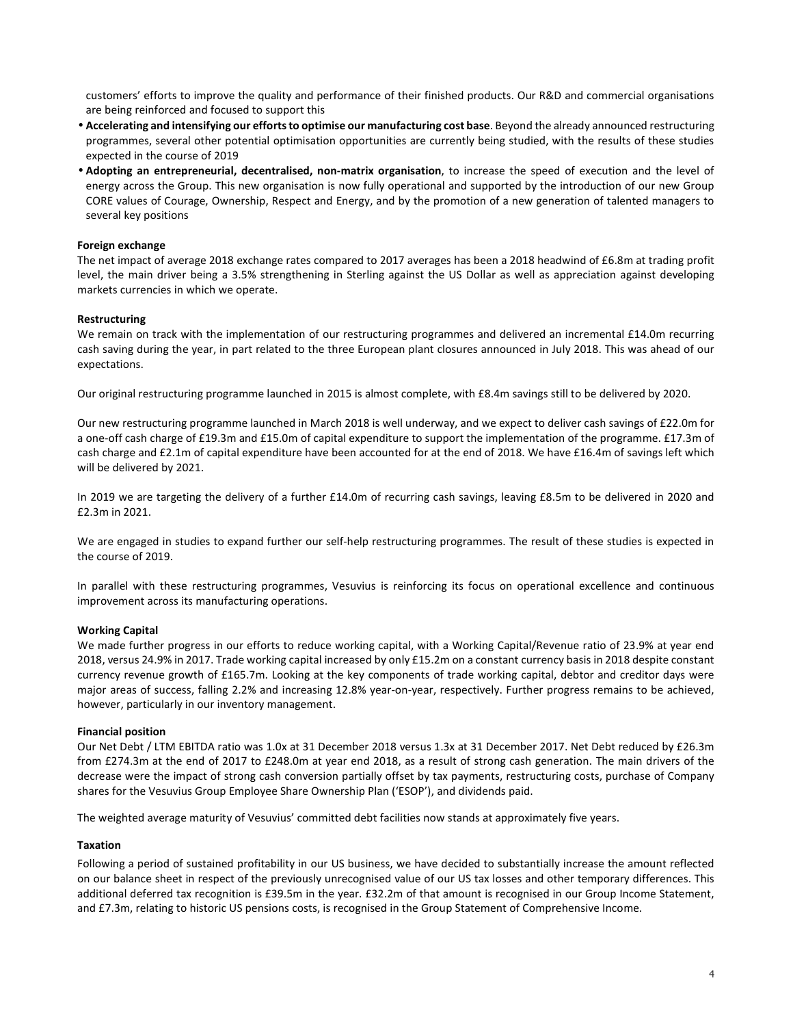customers' efforts to improve the quality and performance of their finished products. Our R&D and commercial organisations are being reinforced and focused to support this

- **Accelerating and intensifying our efforts to optimise our manufacturing cost base**. Beyond the already announced restructuring programmes, several other potential optimisation opportunities are currently being studied, with the results of these studies expected in the course of 2019
- **Adopting an entrepreneurial, decentralised, non-matrix organisation**, to increase the speed of execution and the level of energy across the Group. This new organisation is now fully operational and supported by the introduction of our new Group CORE values of Courage, Ownership, Respect and Energy, and by the promotion of a new generation of talented managers to several key positions

### **Foreign exchange**

The net impact of average 2018 exchange rates compared to 2017 averages has been a 2018 headwind of £6.8m at trading profit level, the main driver being a 3.5% strengthening in Sterling against the US Dollar as well as appreciation against developing markets currencies in which we operate.

### **Restructuring**

We remain on track with the implementation of our restructuring programmes and delivered an incremental £14.0m recurring cash saving during the year, in part related to the three European plant closures announced in July 2018. This was ahead of our expectations.

Our original restructuring programme launched in 2015 is almost complete, with £8.4m savings still to be delivered by 2020.

Our new restructuring programme launched in March 2018 is well underway, and we expect to deliver cash savings of £22.0m for a one-off cash charge of £19.3m and £15.0m of capital expenditure to support the implementation of the programme. £17.3m of cash charge and £2.1m of capital expenditure have been accounted for at the end of 2018. We have £16.4m of savings left which will be delivered by 2021.

In 2019 we are targeting the delivery of a further £14.0m of recurring cash savings, leaving £8.5m to be delivered in 2020 and £2.3m in 2021.

We are engaged in studies to expand further our self-help restructuring programmes. The result of these studies is expected in the course of 2019.

In parallel with these restructuring programmes, Vesuvius is reinforcing its focus on operational excellence and continuous improvement across its manufacturing operations.

### **Working Capital**

We made further progress in our efforts to reduce working capital, with a Working Capital/Revenue ratio of 23.9% at year end 2018, versus 24.9% in 2017. Trade working capital increased by only £15.2m on a constant currency basis in 2018 despite constant currency revenue growth of £165.7m. Looking at the key components of trade working capital, debtor and creditor days were major areas of success, falling 2.2% and increasing 12.8% year-on-year, respectively. Further progress remains to be achieved, however, particularly in our inventory management.

### **Financial position**

Our Net Debt / LTM EBITDA ratio was 1.0x at 31 December 2018 versus 1.3x at 31 December 2017. Net Debt reduced by £26.3m from £274.3m at the end of 2017 to £248.0m at year end 2018, as a result of strong cash generation. The main drivers of the decrease were the impact of strong cash conversion partially offset by tax payments, restructuring costs, purchase of Company shares for the Vesuvius Group Employee Share Ownership Plan ('ESOP'), and dividends paid.

The weighted average maturity of Vesuvius' committed debt facilities now stands at approximately five years.

### **Taxation**

Following a period of sustained profitability in our US business, we have decided to substantially increase the amount reflected on our balance sheet in respect of the previously unrecognised value of our US tax losses and other temporary differences. This additional deferred tax recognition is £39.5m in the year. £32.2m of that amount is recognised in our Group Income Statement, and £7.3m, relating to historic US pensions costs, is recognised in the Group Statement of Comprehensive Income.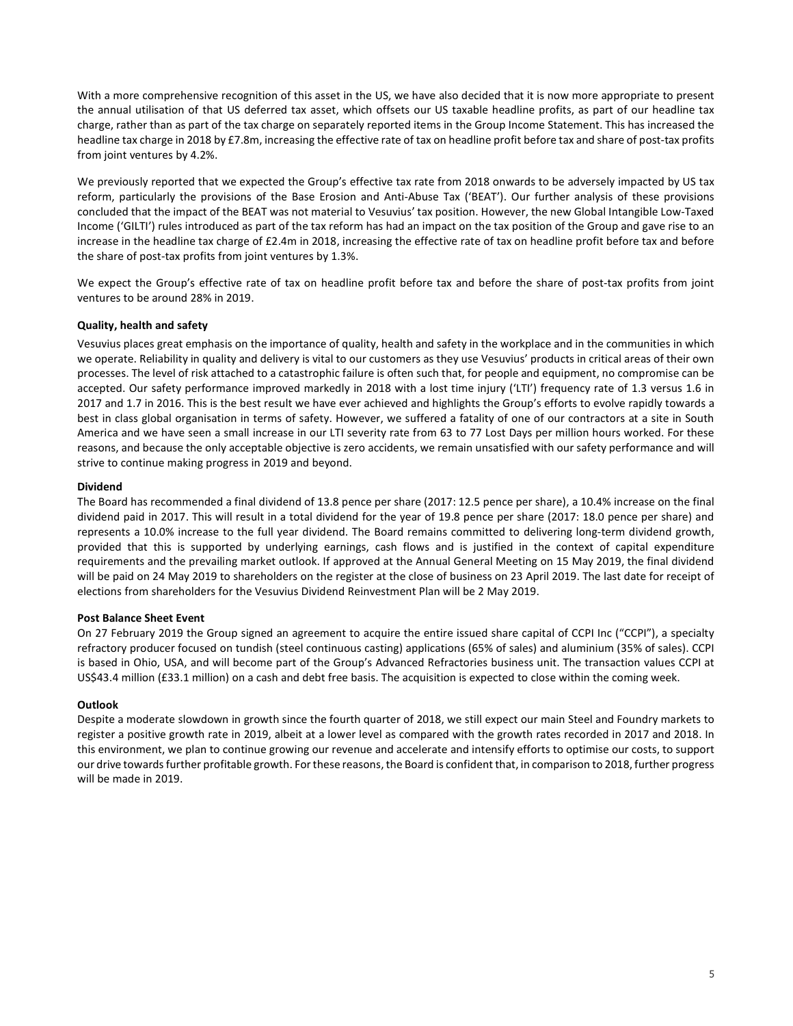With a more comprehensive recognition of this asset in the US, we have also decided that it is now more appropriate to present the annual utilisation of that US deferred tax asset, which offsets our US taxable headline profits, as part of our headline tax charge, rather than as part of the tax charge on separately reported items in the Group Income Statement. This has increased the headline tax charge in 2018 by £7.8m, increasing the effective rate of tax on headline profit before tax and share of post-tax profits from joint ventures by 4.2%.

We previously reported that we expected the Group's effective tax rate from 2018 onwards to be adversely impacted by US tax reform, particularly the provisions of the Base Erosion and Anti-Abuse Tax ('BEAT'). Our further analysis of these provisions concluded that the impact of the BEAT was not material to Vesuvius' tax position. However, the new Global Intangible Low-Taxed Income ('GILTI') rules introduced as part of the tax reform has had an impact on the tax position of the Group and gave rise to an increase in the headline tax charge of £2.4m in 2018, increasing the effective rate of tax on headline profit before tax and before the share of post-tax profits from joint ventures by 1.3%.

We expect the Group's effective rate of tax on headline profit before tax and before the share of post-tax profits from joint ventures to be around 28% in 2019.

### **Quality, health and safety**

Vesuvius places great emphasis on the importance of quality, health and safety in the workplace and in the communities in which we operate. Reliability in quality and delivery is vital to our customers as they use Vesuvius' products in critical areas of their own processes. The level of risk attached to a catastrophic failure is often such that, for people and equipment, no compromise can be accepted. Our safety performance improved markedly in 2018 with a lost time injury ('LTI') frequency rate of 1.3 versus 1.6 in 2017 and 1.7 in 2016. This is the best result we have ever achieved and highlights the Group's efforts to evolve rapidly towards a best in class global organisation in terms of safety. However, we suffered a fatality of one of our contractors at a site in South America and we have seen a small increase in our LTI severity rate from 63 to 77 Lost Days per million hours worked. For these reasons, and because the only acceptable objective is zero accidents, we remain unsatisfied with our safety performance and will strive to continue making progress in 2019 and beyond.

### **Dividend**

The Board has recommended a final dividend of 13.8 pence per share (2017: 12.5 pence per share), a 10.4% increase on the final dividend paid in 2017. This will result in a total dividend for the year of 19.8 pence per share (2017: 18.0 pence per share) and represents a 10.0% increase to the full year dividend. The Board remains committed to delivering long-term dividend growth, provided that this is supported by underlying earnings, cash flows and is justified in the context of capital expenditure requirements and the prevailing market outlook. If approved at the Annual General Meeting on 15 May 2019, the final dividend will be paid on 24 May 2019 to shareholders on the register at the close of business on 23 April 2019. The last date for receipt of elections from shareholders for the Vesuvius Dividend Reinvestment Plan will be 2 May 2019.

### **Post Balance Sheet Event**

On 27 February 2019 the Group signed an agreement to acquire the entire issued share capital of CCPI Inc ("CCPI"), a specialty refractory producer focused on tundish (steel continuous casting) applications (65% of sales) and aluminium (35% of sales). CCPI is based in Ohio, USA, and will become part of the Group's Advanced Refractories business unit. The transaction values CCPI at US\$43.4 million (£33.1 million) on a cash and debt free basis. The acquisition is expected to close within the coming week.

### **Outlook**

Despite a moderate slowdown in growth since the fourth quarter of 2018, we still expect our main Steel and Foundry markets to register a positive growth rate in 2019, albeit at a lower level as compared with the growth rates recorded in 2017 and 2018. In this environment, we plan to continue growing our revenue and accelerate and intensify efforts to optimise our costs, to support our drive towards further profitable growth. For these reasons, the Board is confident that, in comparison to 2018, further progress will be made in 2019.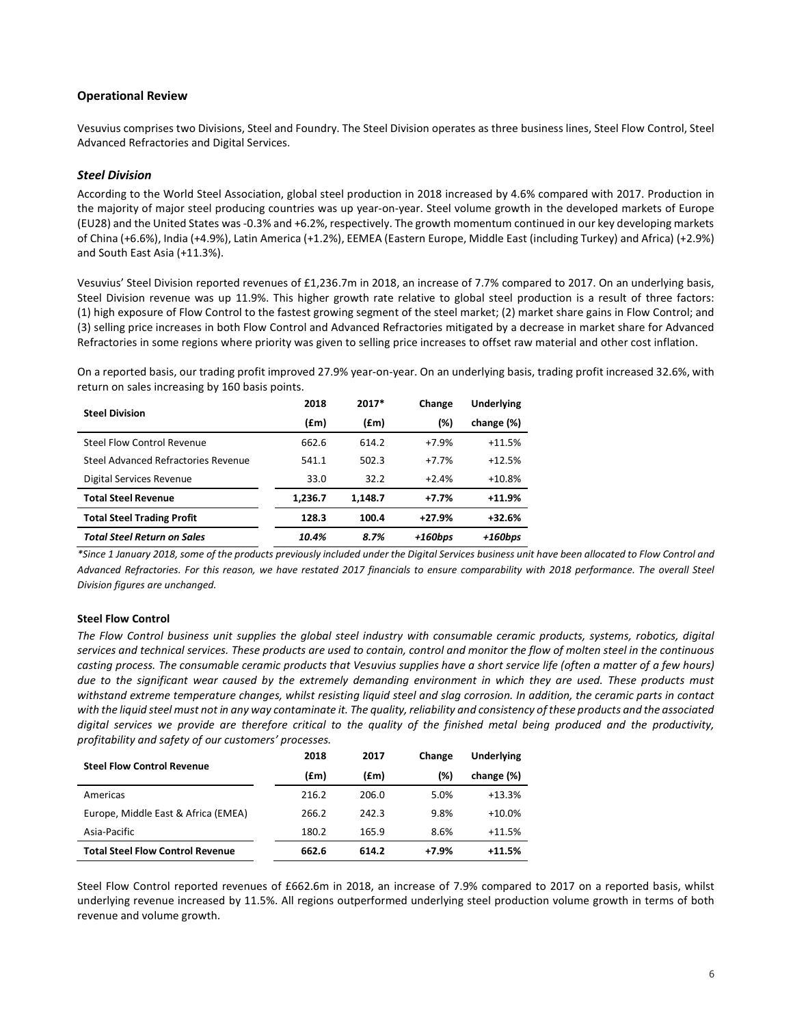### **Operational Review**

Vesuvius comprises two Divisions, Steel and Foundry. The Steel Division operates as three business lines, Steel Flow Control, Steel Advanced Refractories and Digital Services.

### *Steel Division*

According to the World Steel Association, global steel production in 2018 increased by 4.6% compared with 2017. Production in the majority of major steel producing countries was up year-on-year. Steel volume growth in the developed markets of Europe (EU28) and the United States was -0.3% and +6.2%, respectively. The growth momentum continued in our key developing markets of China (+6.6%), India (+4.9%), Latin America (+1.2%), EEMEA (Eastern Europe, Middle East (including Turkey) and Africa) (+2.9%) and South East Asia (+11.3%).

Vesuvius' Steel Division reported revenues of £1,236.7m in 2018, an increase of 7.7% compared to 2017. On an underlying basis, Steel Division revenue was up 11.9%. This higher growth rate relative to global steel production is a result of three factors: (1) high exposure of Flow Control to the fastest growing segment of the steel market; (2) market share gains in Flow Control; and (3) selling price increases in both Flow Control and Advanced Refractories mitigated by a decrease in market share for Advanced Refractories in some regions where priority was given to selling price increases to offset raw material and other cost inflation.

On a reported basis, our trading profit improved 27.9% year-on-year. On an underlying basis, trading profit increased 32.6%, with return on sales increasing by 160 basis points.

| <b>Steel Division</b>               | $2017*$<br>2018<br>(£m)<br>(f.m)<br>662.6<br>614.2<br>502.3<br>541.1<br>32.2<br>33.0<br>1,236.7<br>1,148.7 | Change | <b>Underlying</b> |            |
|-------------------------------------|------------------------------------------------------------------------------------------------------------|--------|-------------------|------------|
|                                     |                                                                                                            |        | (%)               | change (%) |
| Steel Flow Control Revenue          |                                                                                                            |        | $+7.9%$           | $+11.5%$   |
| Steel Advanced Refractories Revenue |                                                                                                            |        | $+7.7%$           | $+12.5%$   |
| Digital Services Revenue            |                                                                                                            |        | $+2.4%$           | $+10.8%$   |
| <b>Total Steel Revenue</b>          |                                                                                                            |        | $+7.7%$           | $+11.9%$   |
| <b>Total Steel Trading Profit</b>   | 128.3                                                                                                      | 100.4  | $+27.9%$          | $+32.6%$   |
| <b>Total Steel Return on Sales</b>  | 10.4%                                                                                                      | 8.7%   | $+160bps$         | $+160bps$  |

*\*Since 1 January 2018, some of the products previously included under the Digital Services business unit have been allocated to Flow Control and Advanced Refractories. For this reason, we have restated 2017 financials to ensure comparability with 2018 performance. The overall Steel Division figures are unchanged.* 

### **Steel Flow Control**

*The Flow Control business unit supplies the global steel industry with consumable ceramic products, systems, robotics, digital services and technical services. These products are used to contain, control and monitor the flow of molten steel in the continuous casting process. The consumable ceramic products that Vesuvius supplies have a short service life (often a matter of a few hours) due to the significant wear caused by the extremely demanding environment in which they are used. These products must withstand extreme temperature changes, whilst resisting liquid steel and slag corrosion. In addition, the ceramic parts in contact with the liquid steel must not in any way contaminate it. The quality, reliability and consistency of these products and the associated digital services we provide are therefore critical to the quality of the finished metal being produced and the productivity, profitability and safety of our customers' processes.* 

| <b>Steel Flow Control Revenue</b>       | 2018  | 2017  | Change | <b>Underlying</b> |
|-----------------------------------------|-------|-------|--------|-------------------|
|                                         | (£m)  | (£m)  | (%)    | change (%)        |
| Americas                                | 216.2 | 206.0 | 5.0%   | $+13.3%$          |
| Europe, Middle East & Africa (EMEA)     | 266.2 | 242.3 | 9.8%   | $+10.0%$          |
| Asia-Pacific                            | 180.2 | 165.9 | 8.6%   | $+11.5%$          |
| <b>Total Steel Flow Control Revenue</b> | 662.6 | 614.2 | +7.9%  | $+11.5%$          |

Steel Flow Control reported revenues of £662.6m in 2018, an increase of 7.9% compared to 2017 on a reported basis, whilst underlying revenue increased by 11.5%. All regions outperformed underlying steel production volume growth in terms of both revenue and volume growth.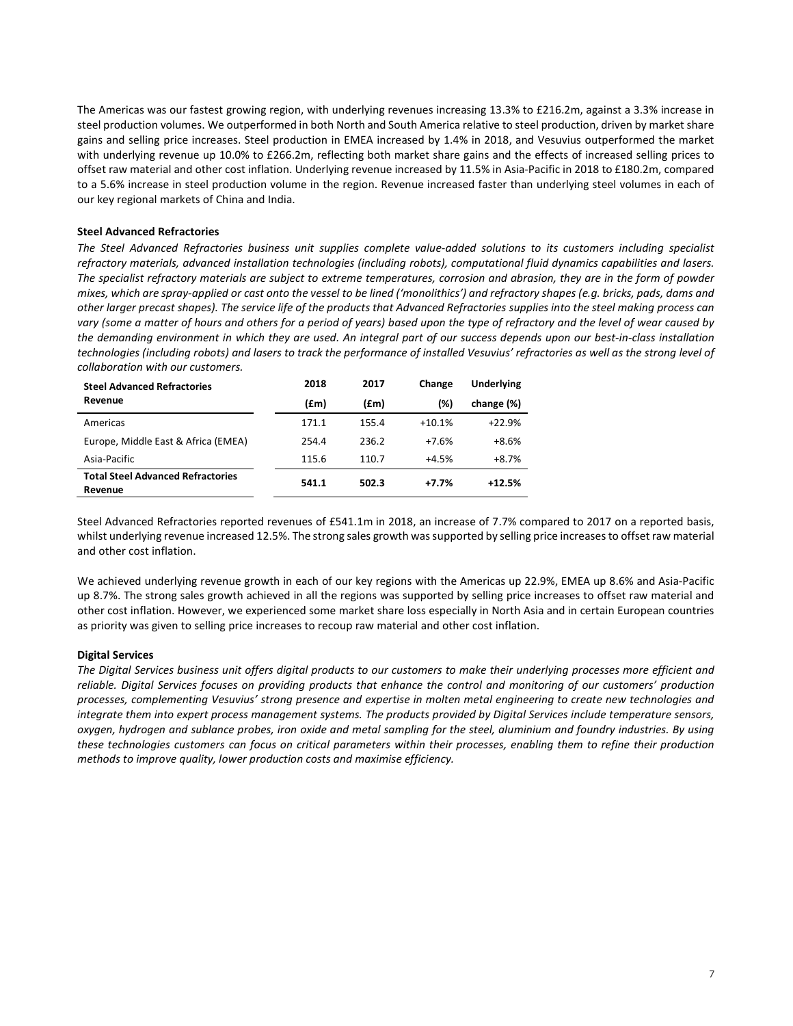The Americas was our fastest growing region, with underlying revenues increasing 13.3% to £216.2m, against a 3.3% increase in steel production volumes. We outperformed in both North and South America relative to steel production, driven by market share gains and selling price increases. Steel production in EMEA increased by 1.4% in 2018, and Vesuvius outperformed the market with underlying revenue up 10.0% to £266.2m, reflecting both market share gains and the effects of increased selling prices to offset raw material and other cost inflation. Underlying revenue increased by 11.5% in Asia-Pacific in 2018 to £180.2m, compared to a 5.6% increase in steel production volume in the region. Revenue increased faster than underlying steel volumes in each of our key regional markets of China and India.

### **Steel Advanced Refractories**

*The Steel Advanced Refractories business unit supplies complete value-added solutions to its customers including specialist refractory materials, advanced installation technologies (including robots), computational fluid dynamics capabilities and lasers. The specialist refractory materials are subject to extreme temperatures, corrosion and abrasion, they are in the form of powder mixes, which are spray-applied or cast onto the vessel to be lined ('monolithics') and refractory shapes (e.g. bricks, pads, dams and other larger precast shapes). The service life of the products that Advanced Refractories supplies into the steel making process can vary (some a matter of hours and others for a period of years) based upon the type of refractory and the level of wear caused by the demanding environment in which they are used. An integral part of our success depends upon our best-in-class installation technologies (including robots) and lasers to track the performance of installed Vesuvius' refractories as well as the strong level of collaboration with our customers.* 

| <b>Steel Advanced Refractories</b>                  | 2018  | 2017  | Change   | <b>Underlying</b> |
|-----------------------------------------------------|-------|-------|----------|-------------------|
| Revenue                                             | (£m)  | (£m)  | (%)      | change (%)        |
| Americas                                            | 171.1 | 155.4 | $+10.1%$ | $+22.9%$          |
| Europe, Middle East & Africa (EMEA)                 | 254.4 | 236.2 | $+7.6%$  | $+8.6%$           |
| Asia-Pacific                                        | 115.6 | 110.7 | $+4.5%$  | $+8.7%$           |
| <b>Total Steel Advanced Refractories</b><br>Revenue | 541.1 | 502.3 | $+7.7%$  | $+12.5%$          |

Steel Advanced Refractories reported revenues of £541.1m in 2018, an increase of 7.7% compared to 2017 on a reported basis, whilst underlying revenue increased 12.5%. The strong sales growth was supported by selling price increases to offset raw material and other cost inflation.

We achieved underlying revenue growth in each of our key regions with the Americas up 22.9%, EMEA up 8.6% and Asia-Pacific up 8.7%. The strong sales growth achieved in all the regions was supported by selling price increases to offset raw material and other cost inflation. However, we experienced some market share loss especially in North Asia and in certain European countries as priority was given to selling price increases to recoup raw material and other cost inflation.

### **Digital Services**

*The Digital Services business unit offers digital products to our customers to make their underlying processes more efficient and reliable. Digital Services focuses on providing products that enhance the control and monitoring of our customers' production processes, complementing Vesuvius' strong presence and expertise in molten metal engineering to create new technologies and integrate them into expert process management systems. The products provided by Digital Services include temperature sensors, oxygen, hydrogen and sublance probes, iron oxide and metal sampling for the steel, aluminium and foundry industries. By using these technologies customers can focus on critical parameters within their processes, enabling them to refine their production methods to improve quality, lower production costs and maximise efficiency.*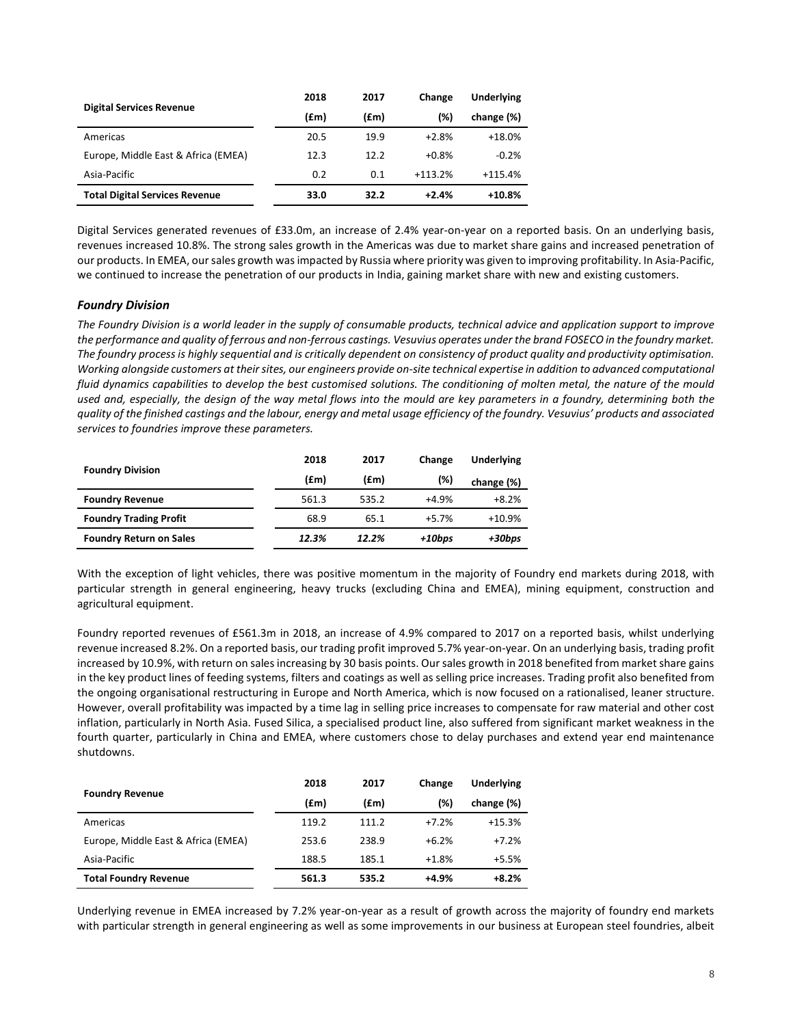| <b>Digital Services Revenue</b>       | 2018 | 2017 | Change    | <b>Underlying</b> |
|---------------------------------------|------|------|-----------|-------------------|
|                                       | (£m) | (£m) | (%)       | change (%)        |
| Americas                              | 20.5 | 19.9 | $+2.8%$   | $+18.0%$          |
| Europe, Middle East & Africa (EMEA)   | 12.3 | 12.2 | $+0.8%$   | $-0.2%$           |
| Asia-Pacific                          | 0.2  | 0.1  | $+113.2%$ | $+115.4%$         |
| <b>Total Digital Services Revenue</b> | 33.0 | 32.2 | $+2.4%$   | $+10.8%$          |

Digital Services generated revenues of £33.0m, an increase of 2.4% year-on-year on a reported basis. On an underlying basis, revenues increased 10.8%. The strong sales growth in the Americas was due to market share gains and increased penetration of our products. In EMEA, our sales growth was impacted by Russia where priority was given to improving profitability. In Asia-Pacific, we continued to increase the penetration of our products in India, gaining market share with new and existing customers.

### *Foundry Division*

*The Foundry Division is a world leader in the supply of consumable products, technical advice and application support to improve the performance and quality of ferrous and non-ferrous castings. Vesuvius operates under the brand FOSECO in the foundry market. The foundry process is highly sequential and is critically dependent on consistency of product quality and productivity optimisation. Working alongside customers at their sites, our engineers provide on-site technical expertise in addition to advanced computational fluid dynamics capabilities to develop the best customised solutions. The conditioning of molten metal, the nature of the mould used and, especially, the design of the way metal flows into the mould are key parameters in a foundry, determining both the quality of the finished castings and the labour, energy and metal usage efficiency of the foundry. Vesuvius' products and associated services to foundries improve these parameters.* 

|                                 | 2018  | 2017  | Change  | Underlying |
|---------------------------------|-------|-------|---------|------------|
| <b>Foundry Division</b><br>(£m) |       | (£m)  | (%)     | change (%) |
| <b>Foundry Revenue</b>          | 561.3 | 535.2 | $+4.9%$ | $+8.2%$    |
| <b>Foundry Trading Profit</b>   | 68.9  | 65.1  | $+5.7%$ | $+10.9%$   |
| <b>Foundry Return on Sales</b>  | 12.3% | 12.2% | +10bps  | +30bps     |

With the exception of light vehicles, there was positive momentum in the majority of Foundry end markets during 2018, with particular strength in general engineering, heavy trucks (excluding China and EMEA), mining equipment, construction and agricultural equipment.

Foundry reported revenues of £561.3m in 2018, an increase of 4.9% compared to 2017 on a reported basis, whilst underlying revenue increased 8.2%. On a reported basis, our trading profit improved 5.7% year-on-year. On an underlying basis, trading profit increased by 10.9%, with return on sales increasing by 30 basis points. Our sales growth in 2018 benefited from market share gains in the key product lines of feeding systems, filters and coatings as well as selling price increases. Trading profit also benefited from the ongoing organisational restructuring in Europe and North America, which is now focused on a rationalised, leaner structure. However, overall profitability was impacted by a time lag in selling price increases to compensate for raw material and other cost inflation, particularly in North Asia. Fused Silica, a specialised product line, also suffered from significant market weakness in the fourth quarter, particularly in China and EMEA, where customers chose to delay purchases and extend year end maintenance shutdowns.

|                                     | 2018  | 2017  | Change  | Underlying |
|-------------------------------------|-------|-------|---------|------------|
| <b>Foundry Revenue</b>              | (£m)  | (£m)  | (%)     | change (%) |
| Americas                            | 119.2 | 111.2 | $+7.2%$ | $+15.3%$   |
| Europe, Middle East & Africa (EMEA) | 253.6 | 238.9 | $+6.2%$ | $+7.2%$    |
| Asia-Pacific                        | 188.5 | 185.1 | $+1.8%$ | $+5.5%$    |
| <b>Total Foundry Revenue</b>        | 561.3 | 535.2 | $+4.9%$ | $+8.2%$    |

Underlying revenue in EMEA increased by 7.2% year-on-year as a result of growth across the majority of foundry end markets with particular strength in general engineering as well as some improvements in our business at European steel foundries, albeit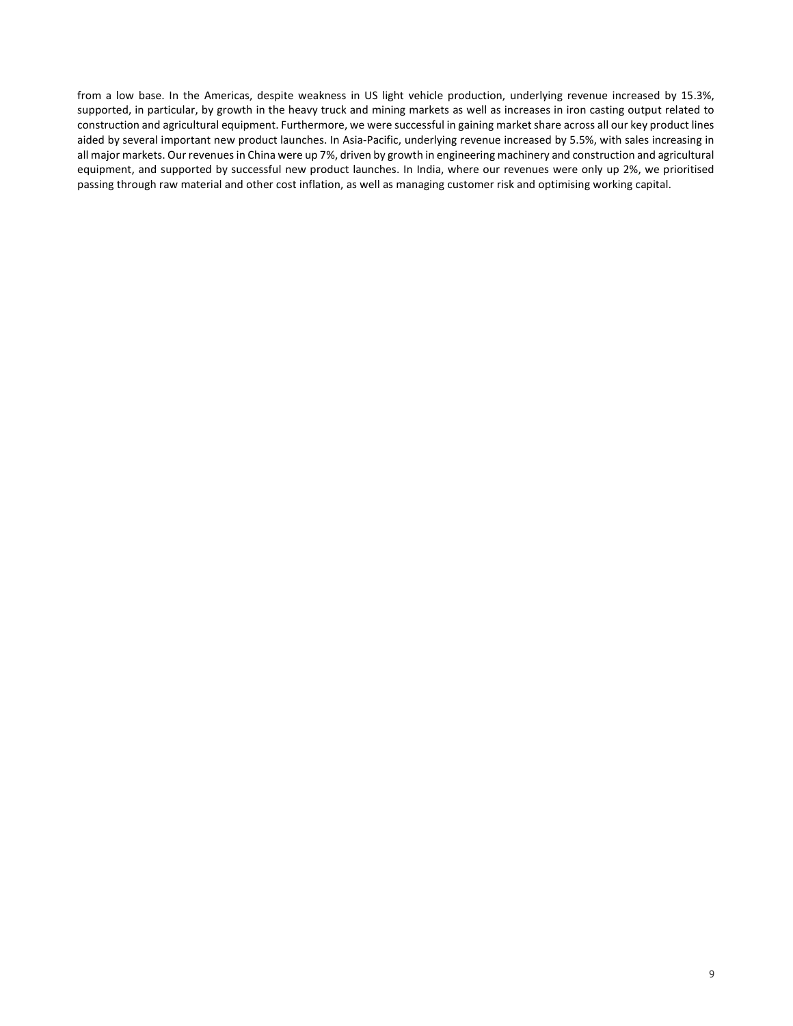from a low base. In the Americas, despite weakness in US light vehicle production, underlying revenue increased by 15.3%, supported, in particular, by growth in the heavy truck and mining markets as well as increases in iron casting output related to construction and agricultural equipment. Furthermore, we were successful in gaining market share across all our key product lines aided by several important new product launches. In Asia-Pacific, underlying revenue increased by 5.5%, with sales increasing in all major markets. Our revenues in China were up 7%, driven by growth in engineering machinery and construction and agricultural equipment, and supported by successful new product launches. In India, where our revenues were only up 2%, we prioritised passing through raw material and other cost inflation, as well as managing customer risk and optimising working capital.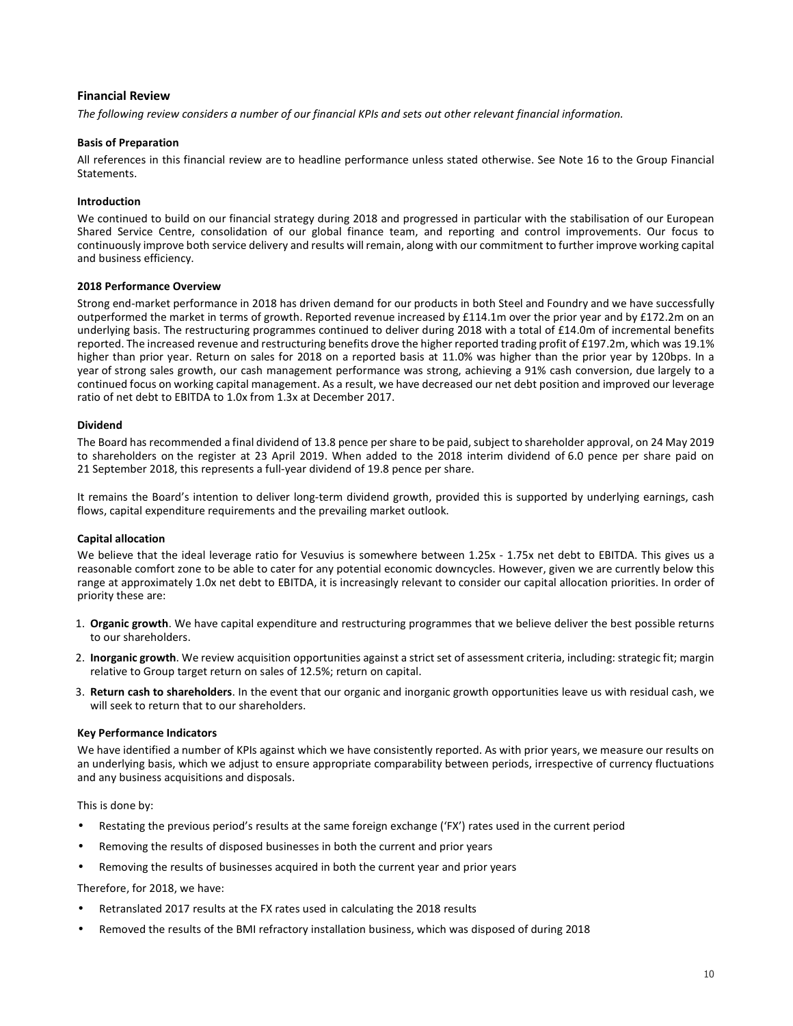### **Financial Review**

*The following review considers a number of our financial KPIs and sets out other relevant financial information.* 

### **Basis of Preparation**

All references in this financial review are to headline performance unless stated otherwise. See Note 16 to the Group Financial Statements.

### **Introduction**

We continued to build on our financial strategy during 2018 and progressed in particular with the stabilisation of our European Shared Service Centre, consolidation of our global finance team, and reporting and control improvements. Our focus to continuously improve both service delivery and results will remain, along with our commitment to further improve working capital and business efficiency.

### **2018 Performance Overview**

Strong end-market performance in 2018 has driven demand for our products in both Steel and Foundry and we have successfully outperformed the market in terms of growth. Reported revenue increased by £114.1m over the prior year and by £172.2m on an underlying basis. The restructuring programmes continued to deliver during 2018 with a total of £14.0m of incremental benefits reported. The increased revenue and restructuring benefits drove the higher reported trading profit of £197.2m, which was 19.1% higher than prior year. Return on sales for 2018 on a reported basis at 11.0% was higher than the prior year by 120bps. In a year of strong sales growth, our cash management performance was strong, achieving a 91% cash conversion, due largely to a continued focus on working capital management. As a result, we have decreased our net debt position and improved our leverage ratio of net debt to EBITDA to 1.0x from 1.3x at December 2017.

### **Dividend**

The Board has recommended a final dividend of 13.8 pence per share to be paid, subject to shareholder approval, on 24 May 2019 to shareholders on the register at 23 April 2019. When added to the 2018 interim dividend of 6.0 pence per share paid on 21 September 2018, this represents a full-year dividend of 19.8 pence per share.

It remains the Board's intention to deliver long-term dividend growth, provided this is supported by underlying earnings, cash flows, capital expenditure requirements and the prevailing market outlook.

### **Capital allocation**

We believe that the ideal leverage ratio for Vesuvius is somewhere between 1.25x - 1.75x net debt to EBITDA. This gives us a reasonable comfort zone to be able to cater for any potential economic downcycles. However, given we are currently below this range at approximately 1.0x net debt to EBITDA, it is increasingly relevant to consider our capital allocation priorities. In order of priority these are:

- 1. **Organic growth**. We have capital expenditure and restructuring programmes that we believe deliver the best possible returns to our shareholders.
- 2. **Inorganic growth**. We review acquisition opportunities against a strict set of assessment criteria, including: strategic fit; margin relative to Group target return on sales of 12.5%; return on capital.
- 3. **Return cash to shareholders**. In the event that our organic and inorganic growth opportunities leave us with residual cash, we will seek to return that to our shareholders.

### **Key Performance Indicators**

We have identified a number of KPIs against which we have consistently reported. As with prior years, we measure our results on an underlying basis, which we adjust to ensure appropriate comparability between periods, irrespective of currency fluctuations and any business acquisitions and disposals.

This is done by:

- Restating the previous period's results at the same foreign exchange ('FX') rates used in the current period
- Removing the results of disposed businesses in both the current and prior years
- Removing the results of businesses acquired in both the current year and prior years

Therefore, for 2018, we have:

- Retranslated 2017 results at the FX rates used in calculating the 2018 results
- Removed the results of the BMI refractory installation business, which was disposed of during 2018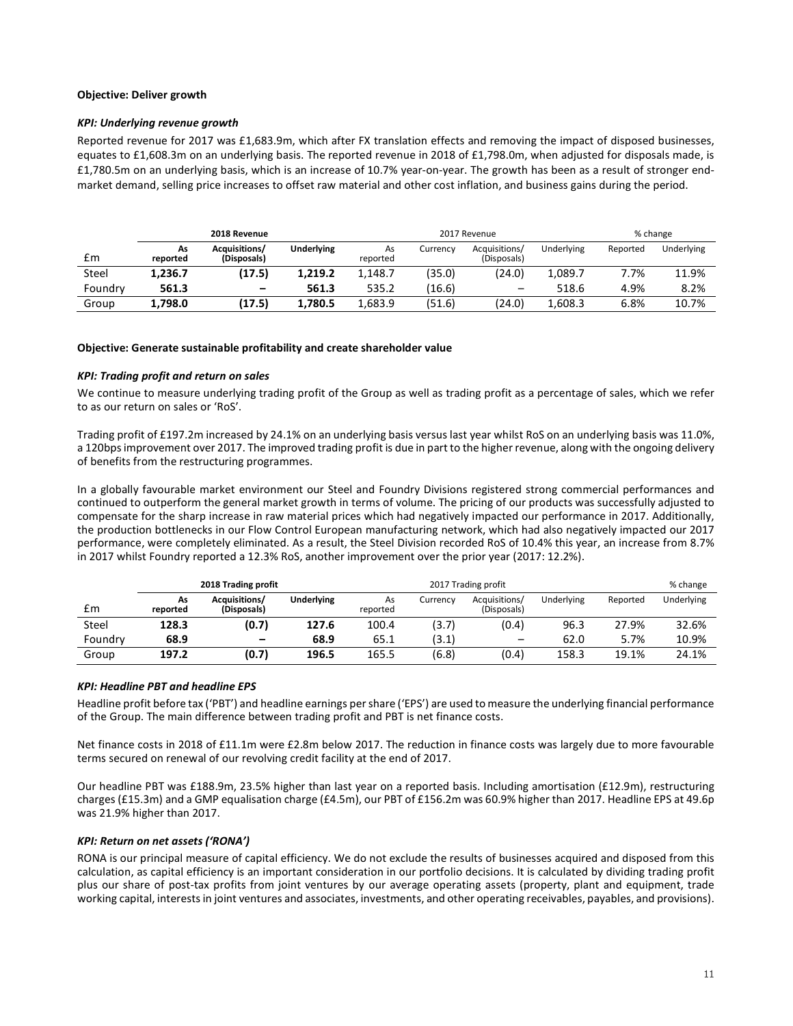### **Objective: Deliver growth**

### *KPI: Underlying revenue growth*

Reported revenue for 2017 was £1,683.9m, which after FX translation effects and removing the impact of disposed businesses, equates to £1,608.3m on an underlying basis. The reported revenue in 2018 of £1,798.0m, when adjusted for disposals made, is £1,780.5m on an underlying basis, which is an increase of 10.7% year-on-year. The growth has been as a result of stronger endmarket demand, selling price increases to offset raw material and other cost inflation, and business gains during the period.

|         |                | 2018 Revenue                 |                   | 2017 Revenue   |          |                              |            | % change |            |  |
|---------|----------------|------------------------------|-------------------|----------------|----------|------------------------------|------------|----------|------------|--|
| £m      | As<br>reported | Acquisitions/<br>(Disposals) | <b>Underlying</b> | As<br>reported | Currency | Acquisitions/<br>(Disposals) | Underlying | Reported | Underlving |  |
| Steel   | 1.236.7        | (17.5)                       | 1.219.2           | 1.148.7        | (35.0)   | (24.0)                       | 1.089.7    | 7.7%     | 11.9%      |  |
| Foundry | 561.3          | $\overline{\phantom{0}}$     | 561.3             | 535.2          | (16.6)   |                              | 518.6      | 4.9%     | 8.2%       |  |
| Group   | 1.798.0        | (17.5)                       | 1,780.5           | 1.683.9        | (51.6)   | (24.0)                       | 1.608.3    | 6.8%     | 10.7%      |  |

### **Objective: Generate sustainable profitability and create shareholder value**

### *KPI: Trading profit and return on sales*

We continue to measure underlying trading profit of the Group as well as trading profit as a percentage of sales, which we refer to as our return on sales or 'RoS'.

Trading profit of £197.2m increased by 24.1% on an underlying basis versus last year whilst RoS on an underlying basis was 11.0%, a 120bps improvement over 2017. The improved trading profit is due in part to the higher revenue, along with the ongoing delivery of benefits from the restructuring programmes.

In a globally favourable market environment our Steel and Foundry Divisions registered strong commercial performances and continued to outperform the general market growth in terms of volume. The pricing of our products was successfully adjusted to compensate for the sharp increase in raw material prices which had negatively impacted our performance in 2017. Additionally, the production bottlenecks in our Flow Control European manufacturing network, which had also negatively impacted our 2017 performance, were completely eliminated. As a result, the Steel Division recorded RoS of 10.4% this year, an increase from 8.7% in 2017 whilst Foundry reported a 12.3% RoS, another improvement over the prior year (2017: 12.2%).

|         | 2018 Trading profit |                              |                   |                | 2017 Trading profit |                              |            |          |            |
|---------|---------------------|------------------------------|-------------------|----------------|---------------------|------------------------------|------------|----------|------------|
| £m      | As<br>reported      | Acquisitions/<br>(Disposals) | <b>Underlying</b> | As<br>reported | Currency            | Acquisitions/<br>(Disposals) | Underlying | Reported | Underlying |
| Steel   | 128.3               | (0.7)                        | 127.6             | 100.4          | (3.7)               | (0.4)                        | 96.3       | 27.9%    | 32.6%      |
| Foundry | 68.9                | $\overline{\phantom{0}}$     | 68.9              | 65.1           | (3.1)               | $\qquad \qquad$              | 62.0       | 5.7%     | 10.9%      |
| Group   | 197.2               | (0.7)                        | 196.5             | 165.5          | (6.8)               | (0.4)                        | 158.3      | 19.1%    | 24.1%      |

### *KPI: Headline PBT and headline EPS*

Headline profit before tax ('PBT') and headline earnings per share ('EPS') are used to measure the underlying financial performance of the Group. The main difference between trading profit and PBT is net finance costs.

Net finance costs in 2018 of £11.1m were £2.8m below 2017. The reduction in finance costs was largely due to more favourable terms secured on renewal of our revolving credit facility at the end of 2017.

Our headline PBT was £188.9m, 23.5% higher than last year on a reported basis. Including amortisation (£12.9m), restructuring charges (£15.3m) and a GMP equalisation charge (£4.5m), our PBT of £156.2m was 60.9% higher than 2017. Headline EPS at 49.6p was 21.9% higher than 2017.

### *KPI: Return on net assets ('RONA')*

RONA is our principal measure of capital efficiency. We do not exclude the results of businesses acquired and disposed from this calculation, as capital efficiency is an important consideration in our portfolio decisions. It is calculated by dividing trading profit plus our share of post-tax profits from joint ventures by our average operating assets (property, plant and equipment, trade working capital, interests in joint ventures and associates, investments, and other operating receivables, payables, and provisions).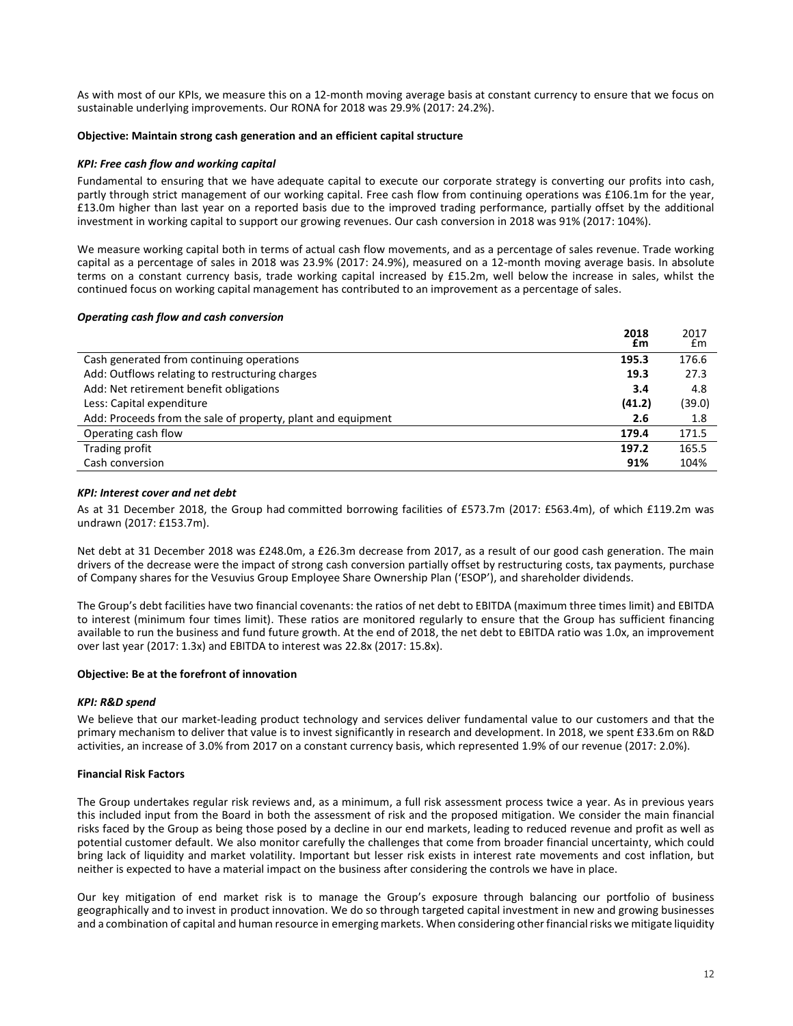As with most of our KPIs, we measure this on a 12-month moving average basis at constant currency to ensure that we focus on sustainable underlying improvements. Our RONA for 2018 was 29.9% (2017: 24.2%).

### **Objective: Maintain strong cash generation and an efficient capital structure**

### *KPI: Free cash flow and working capital*

Fundamental to ensuring that we have adequate capital to execute our corporate strategy is converting our profits into cash, partly through strict management of our working capital. Free cash flow from continuing operations was £106.1m for the year, £13.0m higher than last year on a reported basis due to the improved trading performance, partially offset by the additional investment in working capital to support our growing revenues. Our cash conversion in 2018 was 91% (2017: 104%).

We measure working capital both in terms of actual cash flow movements, and as a percentage of sales revenue. Trade working capital as a percentage of sales in 2018 was 23.9% (2017: 24.9%), measured on a 12-month moving average basis. In absolute terms on a constant currency basis, trade working capital increased by £15.2m, well below the increase in sales, whilst the continued focus on working capital management has contributed to an improvement as a percentage of sales.

### *Operating cash flow and cash conversion*

|                                                              | 2018<br>£m | 2017<br>£m |
|--------------------------------------------------------------|------------|------------|
| Cash generated from continuing operations                    | 195.3      | 176.6      |
| Add: Outflows relating to restructuring charges              | 19.3       | 27.3       |
| Add: Net retirement benefit obligations                      | 3.4        | 4.8        |
| Less: Capital expenditure                                    | (41.2)     | (39.0)     |
| Add: Proceeds from the sale of property, plant and equipment | 2.6        | 1.8        |
| Operating cash flow                                          | 179.4      | 171.5      |
| Trading profit                                               | 197.2      | 165.5      |
| Cash conversion                                              | 91%        | 104%       |

### *KPI: Interest cover and net debt*

As at 31 December 2018, the Group had committed borrowing facilities of £573.7m (2017: £563.4m), of which £119.2m was undrawn (2017: £153.7m).

Net debt at 31 December 2018 was £248.0m, a £26.3m decrease from 2017, as a result of our good cash generation. The main drivers of the decrease were the impact of strong cash conversion partially offset by restructuring costs, tax payments, purchase of Company shares for the Vesuvius Group Employee Share Ownership Plan ('ESOP'), and shareholder dividends.

The Group's debt facilities have two financial covenants: the ratios of net debt to EBITDA (maximum three times limit) and EBITDA to interest (minimum four times limit). These ratios are monitored regularly to ensure that the Group has sufficient financing available to run the business and fund future growth. At the end of 2018, the net debt to EBITDA ratio was 1.0x, an improvement over last year (2017: 1.3x) and EBITDA to interest was 22.8x (2017: 15.8x).

### **Objective: Be at the forefront of innovation**

### *KPI: R&D spend*

We believe that our market-leading product technology and services deliver fundamental value to our customers and that the primary mechanism to deliver that value is to invest significantly in research and development. In 2018, we spent £33.6m on R&D activities, an increase of 3.0% from 2017 on a constant currency basis, which represented 1.9% of our revenue (2017: 2.0%).

### **Financial Risk Factors**

The Group undertakes regular risk reviews and, as a minimum, a full risk assessment process twice a year. As in previous years this included input from the Board in both the assessment of risk and the proposed mitigation. We consider the main financial risks faced by the Group as being those posed by a decline in our end markets, leading to reduced revenue and profit as well as potential customer default. We also monitor carefully the challenges that come from broader financial uncertainty, which could bring lack of liquidity and market volatility. Important but lesser risk exists in interest rate movements and cost inflation, but neither is expected to have a material impact on the business after considering the controls we have in place.

Our key mitigation of end market risk is to manage the Group's exposure through balancing our portfolio of business geographically and to invest in product innovation. We do so through targeted capital investment in new and growing businesses and a combination of capital and human resource in emerging markets. When considering other financial risks we mitigate liquidity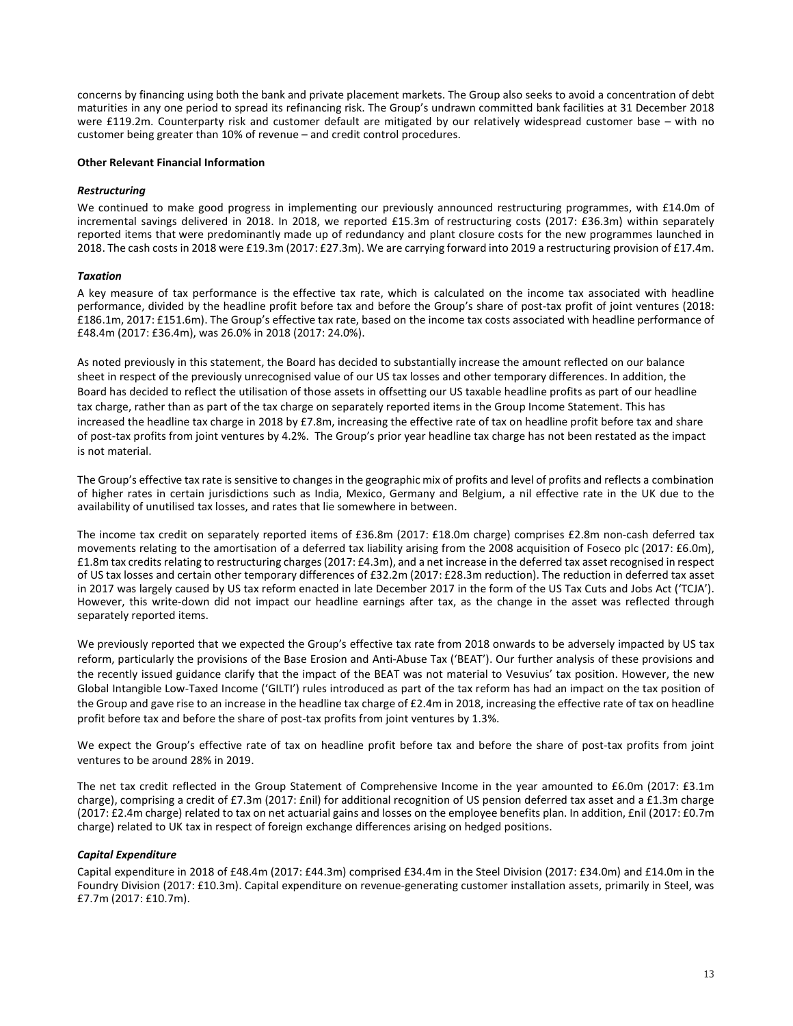concerns by financing using both the bank and private placement markets. The Group also seeks to avoid a concentration of debt maturities in any one period to spread its refinancing risk. The Group's undrawn committed bank facilities at 31 December 2018 were £119.2m. Counterparty risk and customer default are mitigated by our relatively widespread customer base – with no customer being greater than 10% of revenue – and credit control procedures.

### **Other Relevant Financial Information**

### *Restructuring*

We continued to make good progress in implementing our previously announced restructuring programmes, with £14.0m of incremental savings delivered in 2018. In 2018, we reported £15.3m of restructuring costs (2017: £36.3m) within separately reported items that were predominantly made up of redundancy and plant closure costs for the new programmes launched in 2018. The cash costs in 2018 were £19.3m (2017: £27.3m). We are carrying forward into 2019 a restructuring provision of £17.4m.

### *Taxation*

A key measure of tax performance is the effective tax rate, which is calculated on the income tax associated with headline performance, divided by the headline profit before tax and before the Group's share of post-tax profit of joint ventures (2018: £186.1m, 2017: £151.6m). The Group's effective tax rate, based on the income tax costs associated with headline performance of £48.4m (2017: £36.4m), was 26.0% in 2018 (2017: 24.0%).

As noted previously in this statement, the Board has decided to substantially increase the amount reflected on our balance sheet in respect of the previously unrecognised value of our US tax losses and other temporary differences. In addition, the Board has decided to reflect the utilisation of those assets in offsetting our US taxable headline profits as part of our headline tax charge, rather than as part of the tax charge on separately reported items in the Group Income Statement. This has increased the headline tax charge in 2018 by £7.8m, increasing the effective rate of tax on headline profit before tax and share of post-tax profits from joint ventures by 4.2%. The Group's prior year headline tax charge has not been restated as the impact is not material.

The Group's effective tax rate is sensitive to changes in the geographic mix of profits and level of profits and reflects a combination of higher rates in certain jurisdictions such as India, Mexico, Germany and Belgium, a nil effective rate in the UK due to the availability of unutilised tax losses, and rates that lie somewhere in between.

The income tax credit on separately reported items of £36.8m (2017: £18.0m charge) comprises £2.8m non-cash deferred tax movements relating to the amortisation of a deferred tax liability arising from the 2008 acquisition of Foseco plc (2017: £6.0m), £1.8m tax credits relating to restructuring charges (2017: £4.3m), and a net increase in the deferred tax asset recognised in respect of US tax losses and certain other temporary differences of £32.2m (2017: £28.3m reduction). The reduction in deferred tax asset in 2017 was largely caused by US tax reform enacted in late December 2017 in the form of the US Tax Cuts and Jobs Act ('TCJA'). However, this write-down did not impact our headline earnings after tax, as the change in the asset was reflected through separately reported items.

We previously reported that we expected the Group's effective tax rate from 2018 onwards to be adversely impacted by US tax reform, particularly the provisions of the Base Erosion and Anti-Abuse Tax ('BEAT'). Our further analysis of these provisions and the recently issued guidance clarify that the impact of the BEAT was not material to Vesuvius' tax position. However, the new Global Intangible Low-Taxed Income ('GILTI') rules introduced as part of the tax reform has had an impact on the tax position of the Group and gave rise to an increase in the headline tax charge of £2.4m in 2018, increasing the effective rate of tax on headline profit before tax and before the share of post-tax profits from joint ventures by 1.3%.

We expect the Group's effective rate of tax on headline profit before tax and before the share of post-tax profits from joint ventures to be around 28% in 2019.

The net tax credit reflected in the Group Statement of Comprehensive Income in the year amounted to £6.0m (2017: £3.1m charge), comprising a credit of £7.3m (2017: £nil) for additional recognition of US pension deferred tax asset and a £1.3m charge (2017: £2.4m charge) related to tax on net actuarial gains and losses on the employee benefits plan. In addition, £nil (2017: £0.7m charge) related to UK tax in respect of foreign exchange differences arising on hedged positions.

### *Capital Expenditure*

Capital expenditure in 2018 of £48.4m (2017: £44.3m) comprised £34.4m in the Steel Division (2017: £34.0m) and £14.0m in the Foundry Division (2017: £10.3m). Capital expenditure on revenue-generating customer installation assets, primarily in Steel, was £7.7m (2017: £10.7m).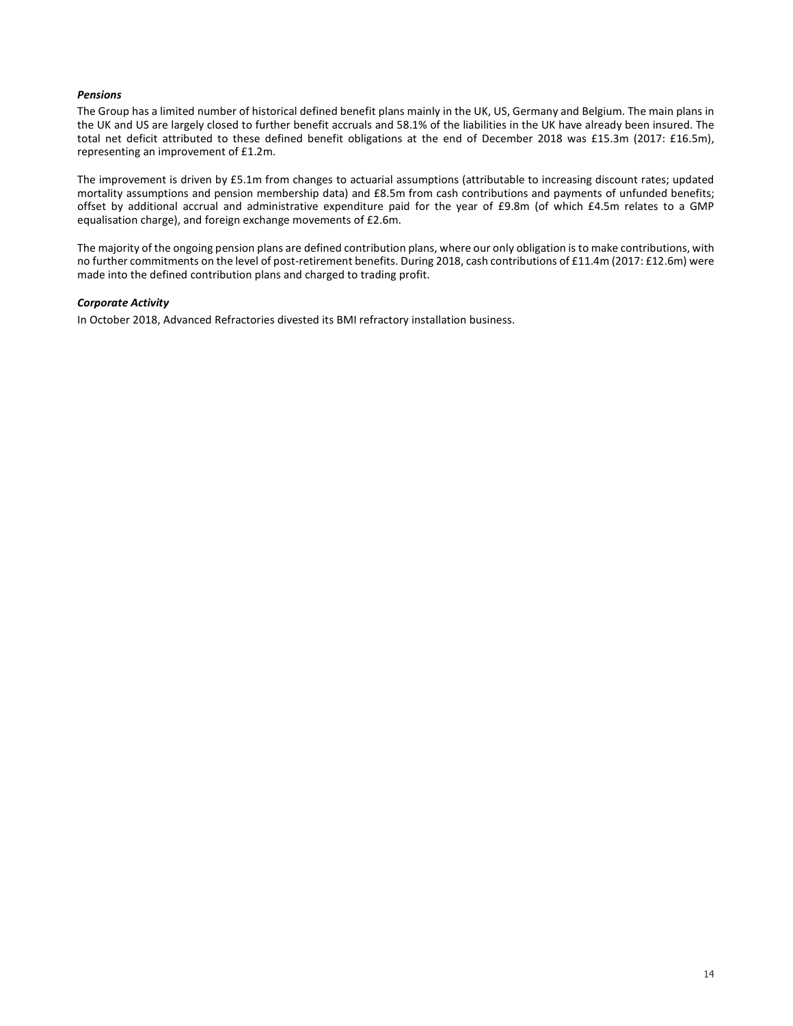### *Pensions*

The Group has a limited number of historical defined benefit plans mainly in the UK, US, Germany and Belgium. The main plans in the UK and US are largely closed to further benefit accruals and 58.1% of the liabilities in the UK have already been insured. The total net deficit attributed to these defined benefit obligations at the end of December 2018 was £15.3m (2017: £16.5m), representing an improvement of £1.2m.

The improvement is driven by £5.1m from changes to actuarial assumptions (attributable to increasing discount rates; updated mortality assumptions and pension membership data) and £8.5m from cash contributions and payments of unfunded benefits; offset by additional accrual and administrative expenditure paid for the year of £9.8m (of which £4.5m relates to a GMP equalisation charge), and foreign exchange movements of £2.6m.

The majority of the ongoing pension plans are defined contribution plans, where our only obligation is to make contributions, with no further commitments on the level of post-retirement benefits. During 2018, cash contributions of £11.4m (2017: £12.6m) were made into the defined contribution plans and charged to trading profit.

### *Corporate Activity*

In October 2018, Advanced Refractories divested its BMI refractory installation business.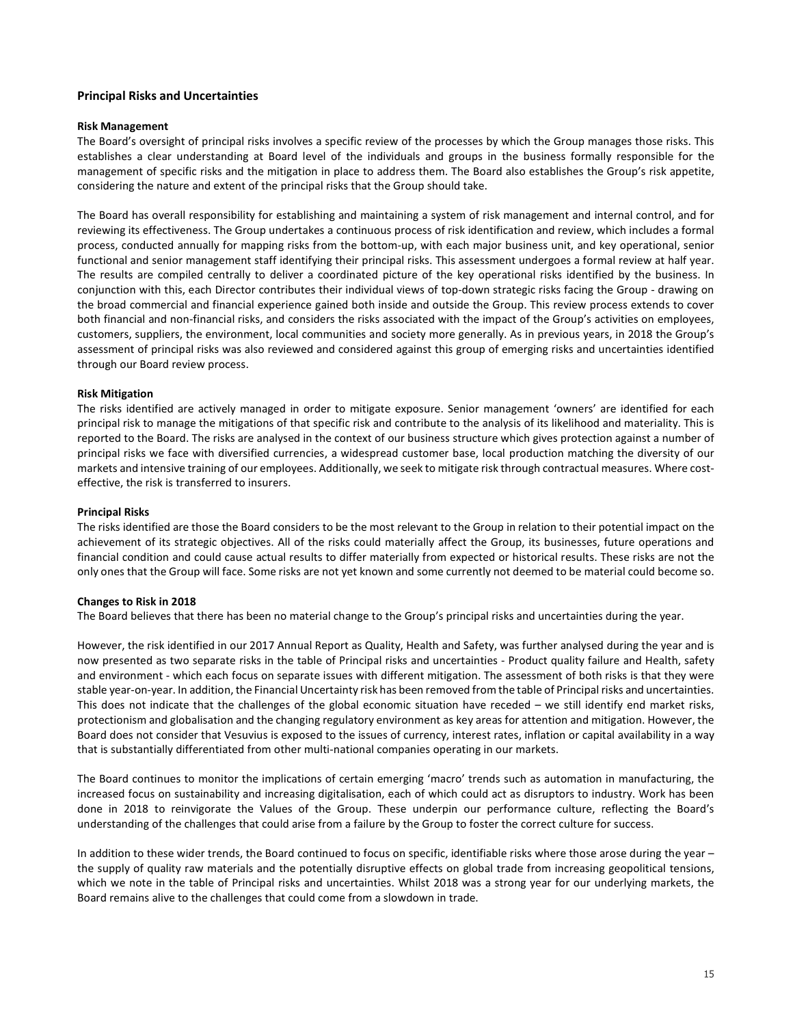### **Principal Risks and Uncertainties**

### **Risk Management**

The Board's oversight of principal risks involves a specific review of the processes by which the Group manages those risks. This establishes a clear understanding at Board level of the individuals and groups in the business formally responsible for the management of specific risks and the mitigation in place to address them. The Board also establishes the Group's risk appetite, considering the nature and extent of the principal risks that the Group should take.

The Board has overall responsibility for establishing and maintaining a system of risk management and internal control, and for reviewing its effectiveness. The Group undertakes a continuous process of risk identification and review, which includes a formal process, conducted annually for mapping risks from the bottom-up, with each major business unit, and key operational, senior functional and senior management staff identifying their principal risks. This assessment undergoes a formal review at half year. The results are compiled centrally to deliver a coordinated picture of the key operational risks identified by the business. In conjunction with this, each Director contributes their individual views of top-down strategic risks facing the Group - drawing on the broad commercial and financial experience gained both inside and outside the Group. This review process extends to cover both financial and non-financial risks, and considers the risks associated with the impact of the Group's activities on employees, customers, suppliers, the environment, local communities and society more generally. As in previous years, in 2018 the Group's assessment of principal risks was also reviewed and considered against this group of emerging risks and uncertainties identified through our Board review process.

### **Risk Mitigation**

The risks identified are actively managed in order to mitigate exposure. Senior management 'owners' are identified for each principal risk to manage the mitigations of that specific risk and contribute to the analysis of its likelihood and materiality. This is reported to the Board. The risks are analysed in the context of our business structure which gives protection against a number of principal risks we face with diversified currencies, a widespread customer base, local production matching the diversity of our markets and intensive training of our employees. Additionally, we seek to mitigate risk through contractual measures. Where costeffective, the risk is transferred to insurers.

### **Principal Risks**

The risks identified are those the Board considers to be the most relevant to the Group in relation to their potential impact on the achievement of its strategic objectives. All of the risks could materially affect the Group, its businesses, future operations and financial condition and could cause actual results to differ materially from expected or historical results. These risks are not the only ones that the Group will face. Some risks are not yet known and some currently not deemed to be material could become so.

### **Changes to Risk in 2018**

The Board believes that there has been no material change to the Group's principal risks and uncertainties during the year.

However, the risk identified in our 2017 Annual Report as Quality, Health and Safety, was further analysed during the year and is now presented as two separate risks in the table of Principal risks and uncertainties - Product quality failure and Health, safety and environment - which each focus on separate issues with different mitigation. The assessment of both risks is that they were stable year-on-year. In addition, the Financial Uncertainty risk has been removed from the table of Principal risks and uncertainties. This does not indicate that the challenges of the global economic situation have receded – we still identify end market risks, protectionism and globalisation and the changing regulatory environment as key areas for attention and mitigation. However, the Board does not consider that Vesuvius is exposed to the issues of currency, interest rates, inflation or capital availability in a way that is substantially differentiated from other multi-national companies operating in our markets.

The Board continues to monitor the implications of certain emerging 'macro' trends such as automation in manufacturing, the increased focus on sustainability and increasing digitalisation, each of which could act as disruptors to industry. Work has been done in 2018 to reinvigorate the Values of the Group. These underpin our performance culture, reflecting the Board's understanding of the challenges that could arise from a failure by the Group to foster the correct culture for success.

In addition to these wider trends, the Board continued to focus on specific, identifiable risks where those arose during the year – the supply of quality raw materials and the potentially disruptive effects on global trade from increasing geopolitical tensions, which we note in the table of Principal risks and uncertainties. Whilst 2018 was a strong year for our underlying markets, the Board remains alive to the challenges that could come from a slowdown in trade.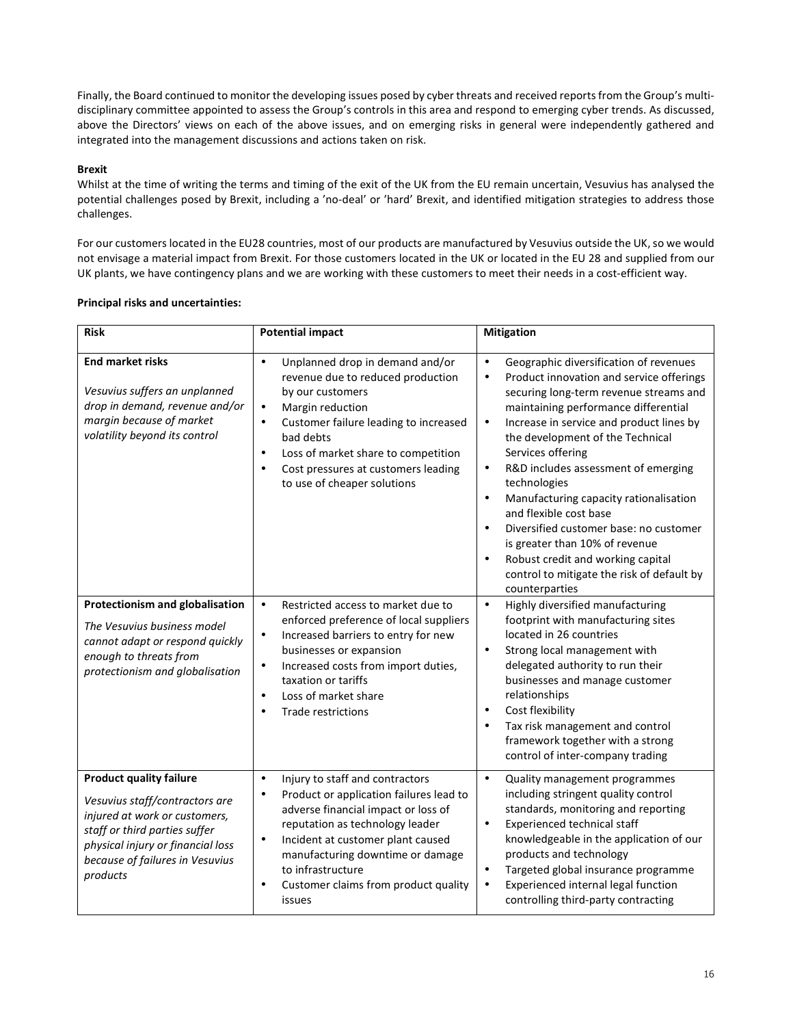Finally, the Board continued to monitor the developing issues posed by cyber threats and received reports from the Group's multidisciplinary committee appointed to assess the Group's controls in this area and respond to emerging cyber trends. As discussed, above the Directors' views on each of the above issues, and on emerging risks in general were independently gathered and integrated into the management discussions and actions taken on risk.

### **Brexit**

Whilst at the time of writing the terms and timing of the exit of the UK from the EU remain uncertain, Vesuvius has analysed the potential challenges posed by Brexit, including a 'no-deal' or 'hard' Brexit, and identified mitigation strategies to address those challenges.

For our customers located in the EU28 countries, most of our products are manufactured by Vesuvius outside the UK, so we would not envisage a material impact from Brexit. For those customers located in the UK or located in the EU 28 and supplied from our UK plants, we have contingency plans and we are working with these customers to meet their needs in a cost-efficient way.

| <b>Risk</b>                                                                                                                                                                                                            | <b>Potential impact</b>                                                                                                                                                                                                                                                                                                                                  | <b>Mitigation</b>                                                                                                                                                                                                                                                                                                                                                                                                                                                                                                                                                                                                                                                                |
|------------------------------------------------------------------------------------------------------------------------------------------------------------------------------------------------------------------------|----------------------------------------------------------------------------------------------------------------------------------------------------------------------------------------------------------------------------------------------------------------------------------------------------------------------------------------------------------|----------------------------------------------------------------------------------------------------------------------------------------------------------------------------------------------------------------------------------------------------------------------------------------------------------------------------------------------------------------------------------------------------------------------------------------------------------------------------------------------------------------------------------------------------------------------------------------------------------------------------------------------------------------------------------|
| <b>End market risks</b><br>Vesuvius suffers an unplanned<br>drop in demand, revenue and/or<br>margin because of market<br>volatility beyond its control                                                                | Unplanned drop in demand and/or<br>$\bullet$<br>revenue due to reduced production<br>by our customers<br>Margin reduction<br>$\bullet$<br>Customer failure leading to increased<br>$\bullet$<br>bad debts<br>Loss of market share to competition<br>$\bullet$<br>Cost pressures at customers leading<br>$\bullet$<br>to use of cheaper solutions         | Geographic diversification of revenues<br>$\bullet$<br>Product innovation and service offerings<br>$\bullet$<br>securing long-term revenue streams and<br>maintaining performance differential<br>Increase in service and product lines by<br>$\bullet$<br>the development of the Technical<br>Services offering<br>R&D includes assessment of emerging<br>$\bullet$<br>technologies<br>Manufacturing capacity rationalisation<br>$\bullet$<br>and flexible cost base<br>Diversified customer base: no customer<br>$\bullet$<br>is greater than 10% of revenue<br>Robust credit and working capital<br>$\bullet$<br>control to mitigate the risk of default by<br>counterparties |
| Protectionism and globalisation<br>The Vesuvius business model<br>cannot adapt or respond quickly<br>enough to threats from<br>protectionism and globalisation                                                         | Restricted access to market due to<br>$\bullet$<br>enforced preference of local suppliers<br>Increased barriers to entry for new<br>$\bullet$<br>businesses or expansion<br>Increased costs from import duties,<br>$\bullet$<br>taxation or tariffs<br>Loss of market share<br>$\bullet$<br><b>Trade restrictions</b><br>$\bullet$                       | Highly diversified manufacturing<br>$\bullet$<br>footprint with manufacturing sites<br>located in 26 countries<br>Strong local management with<br>$\bullet$<br>delegated authority to run their<br>businesses and manage customer<br>relationships<br>Cost flexibility<br>$\bullet$<br>Tax risk management and control<br>$\bullet$<br>framework together with a strong<br>control of inter-company trading                                                                                                                                                                                                                                                                      |
| <b>Product quality failure</b><br>Vesuvius staff/contractors are<br>injured at work or customers,<br>staff or third parties suffer<br>physical injury or financial loss<br>because of failures in Vesuvius<br>products | Injury to staff and contractors<br>$\bullet$<br>Product or application failures lead to<br>$\bullet$<br>adverse financial impact or loss of<br>reputation as technology leader<br>Incident at customer plant caused<br>$\bullet$<br>manufacturing downtime or damage<br>to infrastructure<br>Customer claims from product quality<br>$\bullet$<br>issues | $\bullet$<br>Quality management programmes<br>including stringent quality control<br>standards, monitoring and reporting<br>Experienced technical staff<br>$\bullet$<br>knowledgeable in the application of our<br>products and technology<br>Targeted global insurance programme<br>$\bullet$<br>Experienced internal legal function<br>$\bullet$<br>controlling third-party contracting                                                                                                                                                                                                                                                                                        |

### **Principal risks and uncertainties:**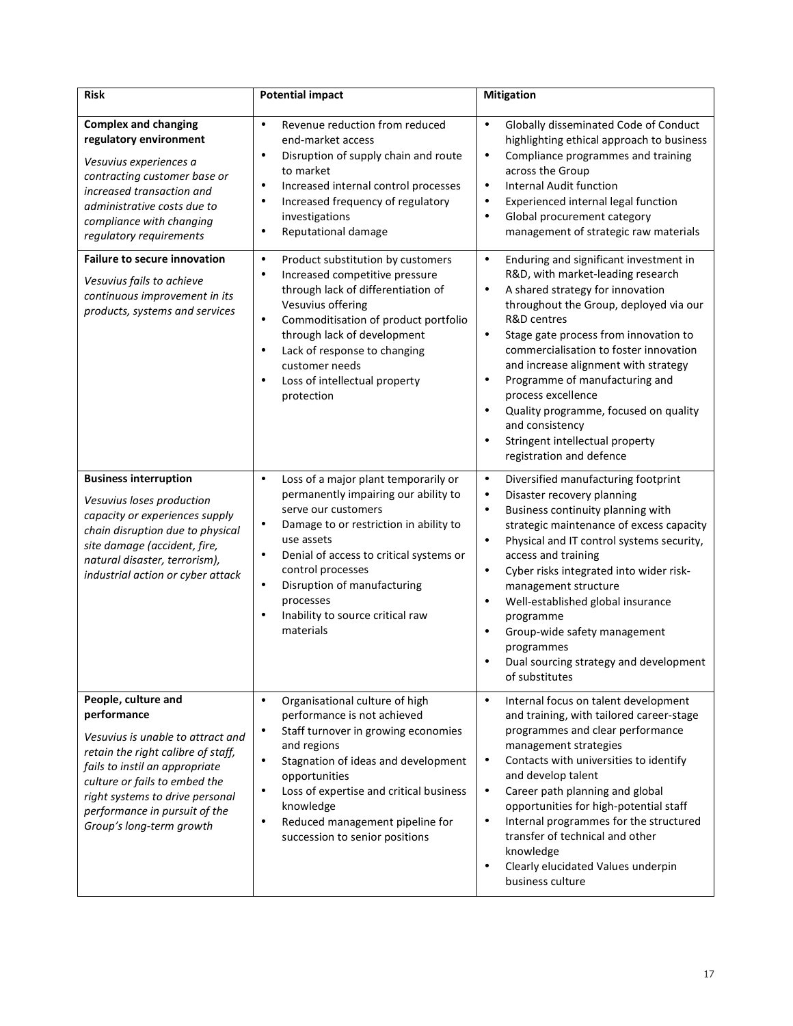| <b>Risk</b>                                                                                                                                                                                                                                                                      | <b>Potential impact</b>                                                                                                                                                                                                                                                                                                                                                      | <b>Mitigation</b>                                                                                                                                                                                                                                                                                                                                                                                                                                                                                                                                                    |
|----------------------------------------------------------------------------------------------------------------------------------------------------------------------------------------------------------------------------------------------------------------------------------|------------------------------------------------------------------------------------------------------------------------------------------------------------------------------------------------------------------------------------------------------------------------------------------------------------------------------------------------------------------------------|----------------------------------------------------------------------------------------------------------------------------------------------------------------------------------------------------------------------------------------------------------------------------------------------------------------------------------------------------------------------------------------------------------------------------------------------------------------------------------------------------------------------------------------------------------------------|
| <b>Complex and changing</b><br>regulatory environment<br>Vesuvius experiences a<br>contracting customer base or<br>increased transaction and<br>administrative costs due to<br>compliance with changing<br>regulatory requirements                                               | Revenue reduction from reduced<br>$\bullet$<br>end-market access<br>Disruption of supply chain and route<br>$\bullet$<br>to market<br>Increased internal control processes<br>$\bullet$<br>Increased frequency of regulatory<br>$\bullet$<br>investigations<br>Reputational damage<br>$\bullet$                                                                              | Globally disseminated Code of Conduct<br>$\bullet$<br>highlighting ethical approach to business<br>Compliance programmes and training<br>$\bullet$<br>across the Group<br>Internal Audit function<br>$\bullet$<br>Experienced internal legal function<br>$\bullet$<br>Global procurement category<br>$\bullet$<br>management of strategic raw materials                                                                                                                                                                                                              |
| <b>Failure to secure innovation</b><br>Vesuvius fails to achieve<br>continuous improvement in its<br>products, systems and services                                                                                                                                              | Product substitution by customers<br>$\bullet$<br>Increased competitive pressure<br>$\bullet$<br>through lack of differentiation of<br>Vesuvius offering<br>Commoditisation of product portfolio<br>$\bullet$<br>through lack of development<br>Lack of response to changing<br>$\bullet$<br>customer needs<br>Loss of intellectual property<br>$\bullet$<br>protection      | Enduring and significant investment in<br>$\bullet$<br>R&D, with market-leading research<br>A shared strategy for innovation<br>$\bullet$<br>throughout the Group, deployed via our<br>R&D centres<br>Stage gate process from innovation to<br>$\bullet$<br>commercialisation to foster innovation<br>and increase alignment with strategy<br>Programme of manufacturing and<br>$\bullet$<br>process excellence<br>Quality programme, focused on quality<br>$\bullet$<br>and consistency<br>Stringent intellectual property<br>$\bullet$<br>registration and defence |
| <b>Business interruption</b><br>Vesuvius loses production<br>capacity or experiences supply<br>chain disruption due to physical<br>site damage (accident, fire,<br>natural disaster, terrorism),<br>industrial action or cyber attack                                            | Loss of a major plant temporarily or<br>$\bullet$<br>permanently impairing our ability to<br>serve our customers<br>Damage to or restriction in ability to<br>$\bullet$<br>use assets<br>Denial of access to critical systems or<br>$\bullet$<br>control processes<br>Disruption of manufacturing<br>$\bullet$<br>processes<br>Inability to source critical raw<br>materials | Diversified manufacturing footprint<br>$\bullet$<br>Disaster recovery planning<br>$\bullet$<br>Business continuity planning with<br>$\bullet$<br>strategic maintenance of excess capacity<br>Physical and IT control systems security,<br>$\bullet$<br>access and training<br>Cyber risks integrated into wider risk-<br>$\bullet$<br>management structure<br>Well-established global insurance<br>$\bullet$<br>programme<br>Group-wide safety management<br>$\bullet$<br>programmes<br>Dual sourcing strategy and development<br>of substitutes                     |
| People, culture and<br>performance<br>Vesuvius is unable to attract and<br>retain the right calibre of staff,<br>fails to instil an appropriate<br>culture or fails to embed the<br>right systems to drive personal<br>performance in pursuit of the<br>Group's long-term growth | Organisational culture of high<br>$\bullet$<br>performance is not achieved<br>Staff turnover in growing economies<br>and regions<br>Stagnation of ideas and development<br>$\bullet$<br>opportunities<br>Loss of expertise and critical business<br>$\bullet$<br>knowledge<br>Reduced management pipeline for<br>$\bullet$<br>succession to senior positions                 | Internal focus on talent development<br>$\bullet$<br>and training, with tailored career-stage<br>programmes and clear performance<br>management strategies<br>Contacts with universities to identify<br>$\bullet$<br>and develop talent<br>Career path planning and global<br>$\bullet$<br>opportunities for high-potential staff<br>Internal programmes for the structured<br>$\bullet$<br>transfer of technical and other<br>knowledge<br>Clearly elucidated Values underpin<br>$\bullet$<br>business culture                                                      |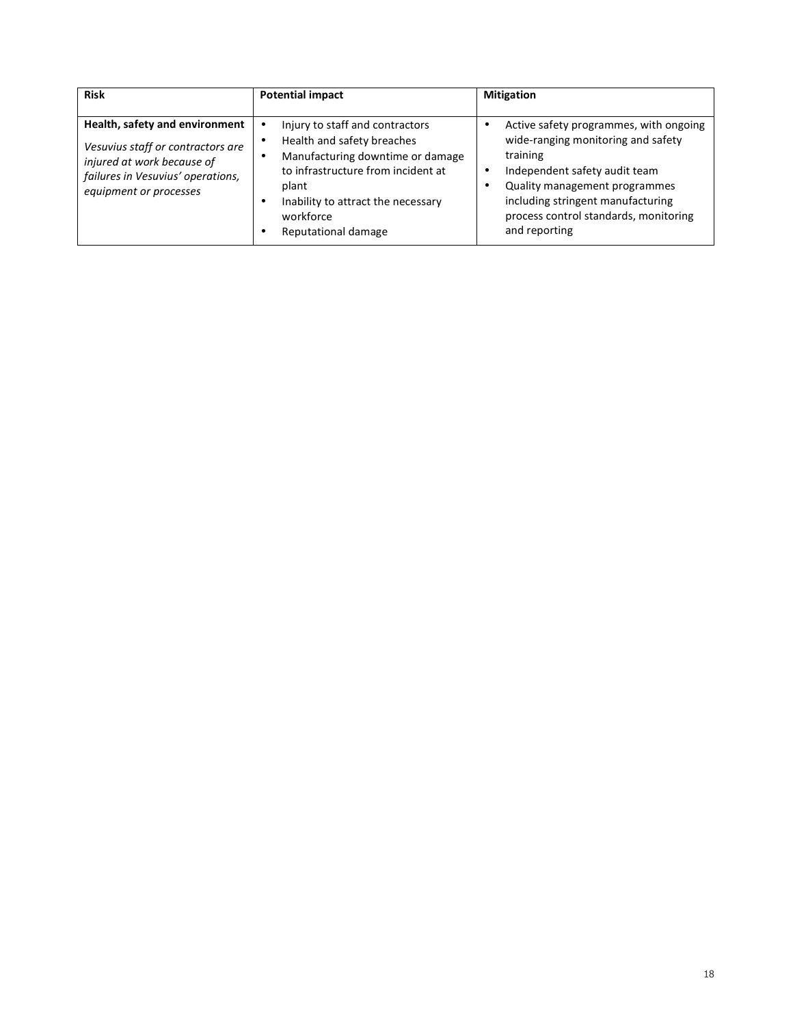| <b>Risk</b>                                                                                                                                                      | <b>Potential impact</b>                                                                                                                                                                                                    | <b>Mitigation</b>                                                                                                                                                                                                                                         |
|------------------------------------------------------------------------------------------------------------------------------------------------------------------|----------------------------------------------------------------------------------------------------------------------------------------------------------------------------------------------------------------------------|-----------------------------------------------------------------------------------------------------------------------------------------------------------------------------------------------------------------------------------------------------------|
| Health, safety and environment<br>Vesuvius staff or contractors are<br>injured at work because of<br>failures in Vesuvius' operations,<br>equipment or processes | Injury to staff and contractors<br>Health and safety breaches<br>Manufacturing downtime or damage<br>to infrastructure from incident at<br>plant<br>Inability to attract the necessary<br>workforce<br>Reputational damage | Active safety programmes, with ongoing<br>wide-ranging monitoring and safety<br>training<br>Independent safety audit team<br>Quality management programmes<br>including stringent manufacturing<br>process control standards, monitoring<br>and reporting |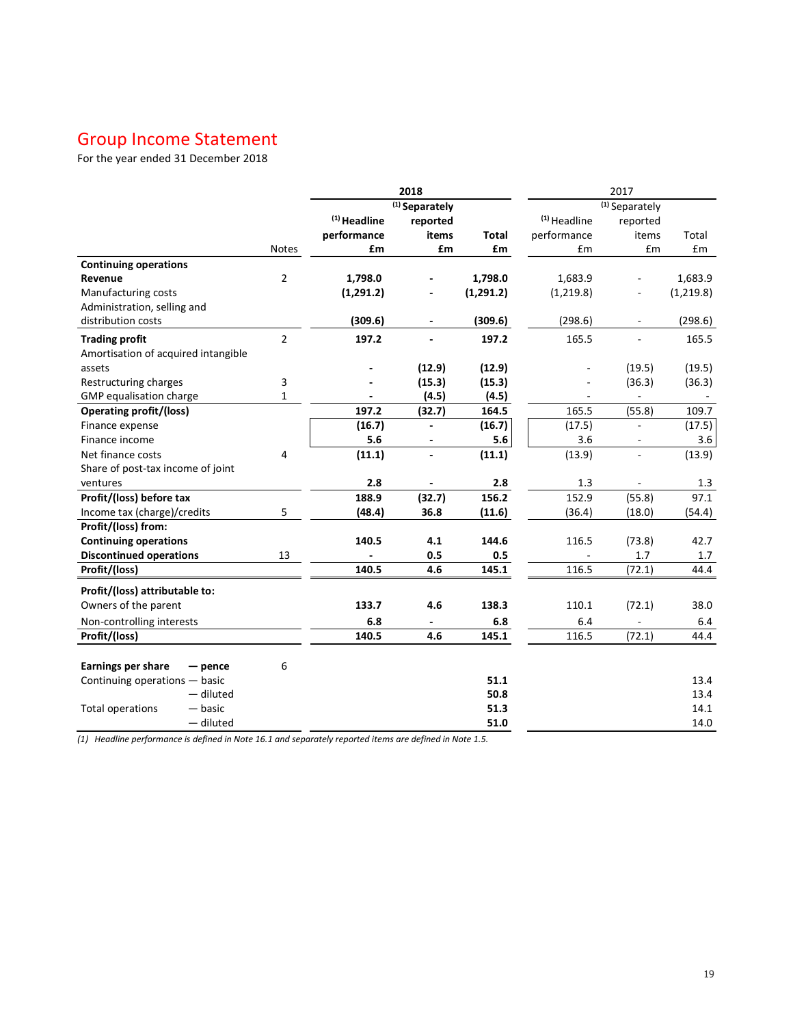# Group Income Statement

For the year ended 31 December 2018

|                                     |                | 2018           |                           |              |                         | 2017                      |            |
|-------------------------------------|----------------|----------------|---------------------------|--------------|-------------------------|---------------------------|------------|
|                                     |                |                | <sup>(1)</sup> Separately |              |                         | <sup>(1)</sup> Separately |            |
|                                     |                | $(1)$ Headline | reported                  |              | <sup>(1)</sup> Headline | reported                  |            |
|                                     |                | performance    | items                     | <b>Total</b> | performance             | items                     | Total      |
|                                     | <b>Notes</b>   | £m             | £m                        | £m           | £m                      | £m                        | Em         |
| <b>Continuing operations</b>        |                |                |                           |              |                         |                           |            |
| Revenue                             | $\overline{2}$ | 1,798.0        |                           | 1,798.0      | 1,683.9                 |                           | 1,683.9    |
| Manufacturing costs                 |                | (1, 291.2)     |                           | (1, 291.2)   | (1, 219.8)              |                           | (1, 219.8) |
| Administration, selling and         |                |                |                           |              |                         |                           |            |
| distribution costs                  |                | (309.6)        |                           | (309.6)      | (298.6)                 |                           | (298.6)    |
| <b>Trading profit</b>               | $\overline{2}$ | 197.2          |                           | 197.2        | 165.5                   |                           | 165.5      |
| Amortisation of acquired intangible |                |                |                           |              |                         |                           |            |
| assets                              |                |                | (12.9)                    | (12.9)       |                         | (19.5)                    | (19.5)     |
| Restructuring charges               | 3              |                | (15.3)                    | (15.3)       |                         | (36.3)                    | (36.3)     |
| GMP equalisation charge             | $\mathbf{1}$   |                | (4.5)                     | (4.5)        |                         |                           |            |
| <b>Operating profit/(loss)</b>      |                | 197.2          | (32.7)                    | 164.5        | 165.5                   | (55.8)                    | 109.7      |
| Finance expense                     |                | (16.7)         |                           | (16.7)       | (17.5)                  |                           | (17.5)     |
| Finance income                      |                | 5.6            |                           | 5.6          | 3.6                     |                           | 3.6        |
| Net finance costs                   | 4              | (11.1)         |                           | (11.1)       | (13.9)                  |                           | (13.9)     |
| Share of post-tax income of joint   |                |                |                           |              |                         |                           |            |
| ventures                            |                | 2.8            |                           | 2.8          | 1.3                     |                           | 1.3        |
| Profit/(loss) before tax            |                | 188.9          | (32.7)                    | 156.2        | 152.9                   | (55.8)                    | 97.1       |
| Income tax (charge)/credits         | 5              | (48.4)         | 36.8                      | (11.6)       | (36.4)                  | (18.0)                    | (54.4)     |
| Profit/(loss) from:                 |                |                |                           |              |                         |                           |            |
| <b>Continuing operations</b>        |                | 140.5          | 4.1                       | 144.6        | 116.5                   | (73.8)                    | 42.7       |
| <b>Discontinued operations</b>      | 13             |                | 0.5                       | 0.5          |                         | 1.7                       | 1.7        |
| Profit/(loss)                       |                | 140.5          | 4.6                       | 145.1        | 116.5                   | (72.1)                    | 44.4       |
| Profit/(loss) attributable to:      |                |                |                           |              |                         |                           |            |
| Owners of the parent                |                | 133.7          | 4.6                       | 138.3        | 110.1                   | (72.1)                    | 38.0       |
| Non-controlling interests           |                | 6.8            |                           | 6.8          | 6.4                     |                           | 6.4        |
| Profit/(loss)                       |                | 140.5          | 4.6                       | 145.1        | 116.5                   | (72.1)                    | 44.4       |
|                                     |                |                |                           |              |                         |                           |            |
| Earnings per share<br>$-$ pence     | 6              |                |                           |              |                         |                           |            |
| Continuing operations - basic       |                |                |                           | 51.1         |                         |                           | 13.4       |
| - diluted                           |                |                |                           | 50.8         |                         |                           | 13.4       |
| <b>Total operations</b><br>— basic  |                |                |                           | 51.3         |                         |                           | 14.1       |
| - diluted                           |                |                |                           | 51.0         |                         |                           | 14.0       |

*(1) Headline performance is defined in Note 16.1 and separately reported items are defined in Note 1.5.*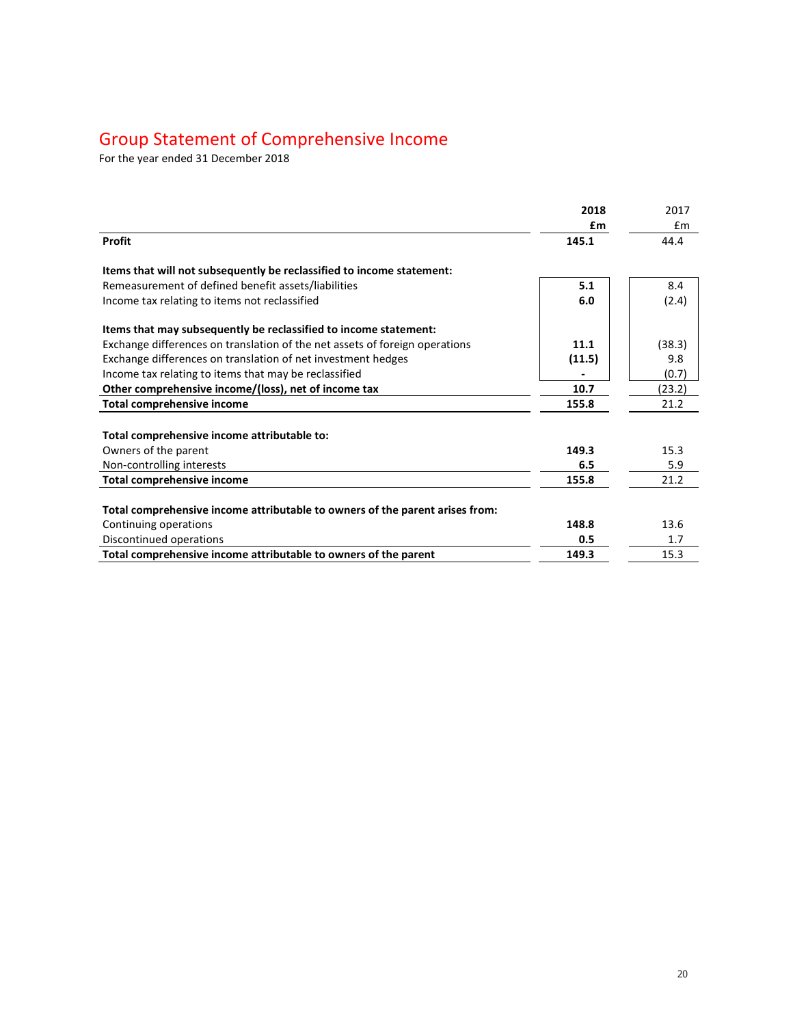### Group Statement of Comprehensive Income

For the year ended 31 December 2018

|                                                                              | 2018   | 2017   |
|------------------------------------------------------------------------------|--------|--------|
|                                                                              | £m     | Em     |
| <b>Profit</b>                                                                | 145.1  | 44.4   |
| Items that will not subsequently be reclassified to income statement:        |        |        |
| Remeasurement of defined benefit assets/liabilities                          | 5.1    | 8.4    |
| Income tax relating to items not reclassified                                | 6.0    | (2.4)  |
| Items that may subsequently be reclassified to income statement:             |        |        |
| Exchange differences on translation of the net assets of foreign operations  | 11.1   | (38.3) |
| Exchange differences on translation of net investment hedges                 | (11.5) | 9.8    |
| Income tax relating to items that may be reclassified                        |        | (0.7)  |
| Other comprehensive income/(loss), net of income tax                         | 10.7   | (23.2) |
| <b>Total comprehensive income</b>                                            | 155.8  | 21.2   |
|                                                                              |        |        |
| Total comprehensive income attributable to:                                  |        |        |
| Owners of the parent                                                         | 149.3  | 15.3   |
| Non-controlling interests                                                    | 6.5    | 5.9    |
| <b>Total comprehensive income</b>                                            | 155.8  | 21.2   |
| Total comprehensive income attributable to owners of the parent arises from: |        |        |
| Continuing operations                                                        | 148.8  | 13.6   |
| Discontinued operations                                                      | 0.5    | 1.7    |
| Total comprehensive income attributable to owners of the parent              | 149.3  | 15.3   |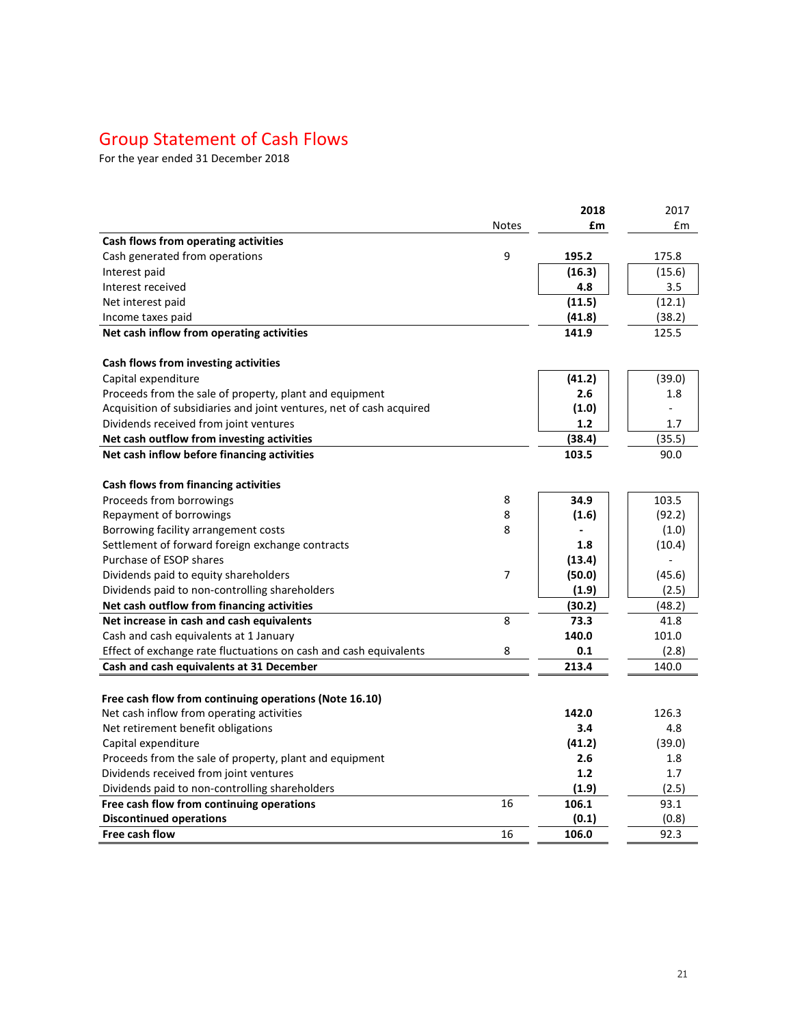# Group Statement of Cash Flows

For the year ended 31 December 2018

|                                                                      |              | 2018   | 2017   |
|----------------------------------------------------------------------|--------------|--------|--------|
|                                                                      | <b>Notes</b> | £m     | £m     |
| Cash flows from operating activities                                 |              |        |        |
| Cash generated from operations                                       | 9            | 195.2  | 175.8  |
| Interest paid                                                        |              | (16.3) | (15.6) |
| Interest received                                                    |              | 4.8    | 3.5    |
| Net interest paid                                                    |              | (11.5) | (12.1) |
| Income taxes paid                                                    |              | (41.8) | (38.2) |
| Net cash inflow from operating activities                            |              | 141.9  | 125.5  |
|                                                                      |              |        |        |
| Cash flows from investing activities                                 |              |        |        |
| Capital expenditure                                                  |              | (41.2) | (39.0) |
| Proceeds from the sale of property, plant and equipment              |              | 2.6    | 1.8    |
| Acquisition of subsidiaries and joint ventures, net of cash acquired |              | (1.0)  |        |
| Dividends received from joint ventures                               |              | 1.2    | 1.7    |
| Net cash outflow from investing activities                           |              | (38.4) | (35.5) |
| Net cash inflow before financing activities                          |              | 103.5  | 90.0   |
| Cash flows from financing activities                                 |              |        |        |
| Proceeds from borrowings                                             | 8            | 34.9   | 103.5  |
| Repayment of borrowings                                              | 8            | (1.6)  | (92.2) |
| Borrowing facility arrangement costs                                 | 8            |        | (1.0)  |
| Settlement of forward foreign exchange contracts                     |              | 1.8    | (10.4) |
| Purchase of ESOP shares                                              |              | (13.4) |        |
| Dividends paid to equity shareholders                                | 7            | (50.0) | (45.6) |
| Dividends paid to non-controlling shareholders                       |              | (1.9)  | (2.5)  |
| Net cash outflow from financing activities                           |              | (30.2) | (48.2) |
| Net increase in cash and cash equivalents                            | 8            | 73.3   | 41.8   |
| Cash and cash equivalents at 1 January                               |              | 140.0  | 101.0  |
| Effect of exchange rate fluctuations on cash and cash equivalents    | 8            | 0.1    | (2.8)  |
| Cash and cash equivalents at 31 December                             |              | 213.4  | 140.0  |
|                                                                      |              |        |        |
| Free cash flow from continuing operations (Note 16.10)               |              |        |        |
| Net cash inflow from operating activities                            |              | 142.0  | 126.3  |
| Net retirement benefit obligations                                   |              | 3.4    | 4.8    |
| Capital expenditure                                                  |              | (41.2) | (39.0) |
| Proceeds from the sale of property, plant and equipment              |              | 2.6    | 1.8    |
| Dividends received from joint ventures                               |              | 1.2    | 1.7    |
| Dividends paid to non-controlling shareholders                       |              | (1.9)  | (2.5)  |
| Free cash flow from continuing operations                            | 16           | 106.1  | 93.1   |
| <b>Discontinued operations</b>                                       |              | (0.1)  | (0.8)  |
| Free cash flow                                                       | 16           | 106.0  | 92.3   |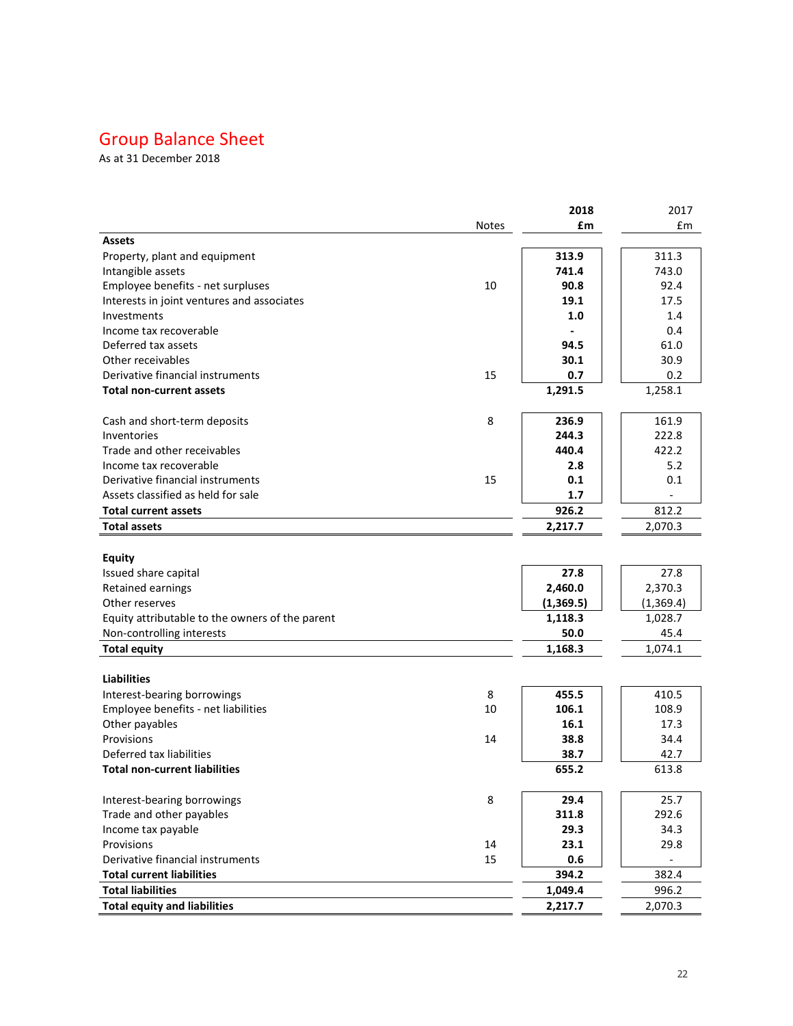# Group Balance Sheet

As at 31 December 2018

|                                                 |              | 2018      | 2017      |
|-------------------------------------------------|--------------|-----------|-----------|
|                                                 | <b>Notes</b> | £m        | £m        |
| <b>Assets</b>                                   |              |           |           |
| Property, plant and equipment                   |              | 313.9     | 311.3     |
| Intangible assets                               |              | 741.4     | 743.0     |
| Employee benefits - net surpluses               | 10           | 90.8      | 92.4      |
| Interests in joint ventures and associates      |              | 19.1      | 17.5      |
| Investments                                     |              | 1.0       | 1.4       |
| Income tax recoverable                          |              |           | 0.4       |
| Deferred tax assets                             |              | 94.5      | 61.0      |
| Other receivables                               |              | 30.1      | 30.9      |
| Derivative financial instruments                | 15           | 0.7       | 0.2       |
| <b>Total non-current assets</b>                 |              | 1,291.5   | 1,258.1   |
| Cash and short-term deposits                    | 8            | 236.9     | 161.9     |
| Inventories                                     |              | 244.3     | 222.8     |
| Trade and other receivables                     |              | 440.4     | 422.2     |
| Income tax recoverable                          |              | 2.8       | 5.2       |
| Derivative financial instruments                | 15           | 0.1       | 0.1       |
| Assets classified as held for sale              |              | 1.7       |           |
| <b>Total current assets</b>                     |              | 926.2     | 812.2     |
| <b>Total assets</b>                             |              | 2,217.7   | 2,070.3   |
|                                                 |              |           |           |
| <b>Equity</b>                                   |              |           |           |
| Issued share capital                            |              | 27.8      | 27.8      |
| Retained earnings                               |              | 2,460.0   | 2,370.3   |
| Other reserves                                  |              | (1,369.5) | (1,369.4) |
| Equity attributable to the owners of the parent |              | 1,118.3   | 1,028.7   |
| Non-controlling interests                       |              | 50.0      | 45.4      |
| <b>Total equity</b>                             |              | 1,168.3   | 1,074.1   |
|                                                 |              |           |           |
| <b>Liabilities</b>                              |              |           |           |
| Interest-bearing borrowings                     | 8            | 455.5     | 410.5     |
| Employee benefits - net liabilities             | 10           | 106.1     | 108.9     |
| Other payables                                  |              | 16.1      | 17.3      |
| Provisions                                      | 14           | 38.8      | 34.4      |
| Deferred tax liabilities                        |              | 38.7      | 42.7      |
| <b>Total non-current liabilities</b>            |              | 655.2     | 613.8     |
| Interest-bearing borrowings                     | 8            | 29.4      | 25.7      |
| Trade and other payables                        |              | 311.8     | 292.6     |
| Income tax payable                              |              | 29.3      | 34.3      |
| Provisions                                      | 14           | 23.1      | 29.8      |
| Derivative financial instruments                | 15           | 0.6       |           |
| <b>Total current liabilities</b>                |              | 394.2     | 382.4     |
| <b>Total liabilities</b>                        |              | 1,049.4   | 996.2     |
| <b>Total equity and liabilities</b>             |              | 2,217.7   | 2,070.3   |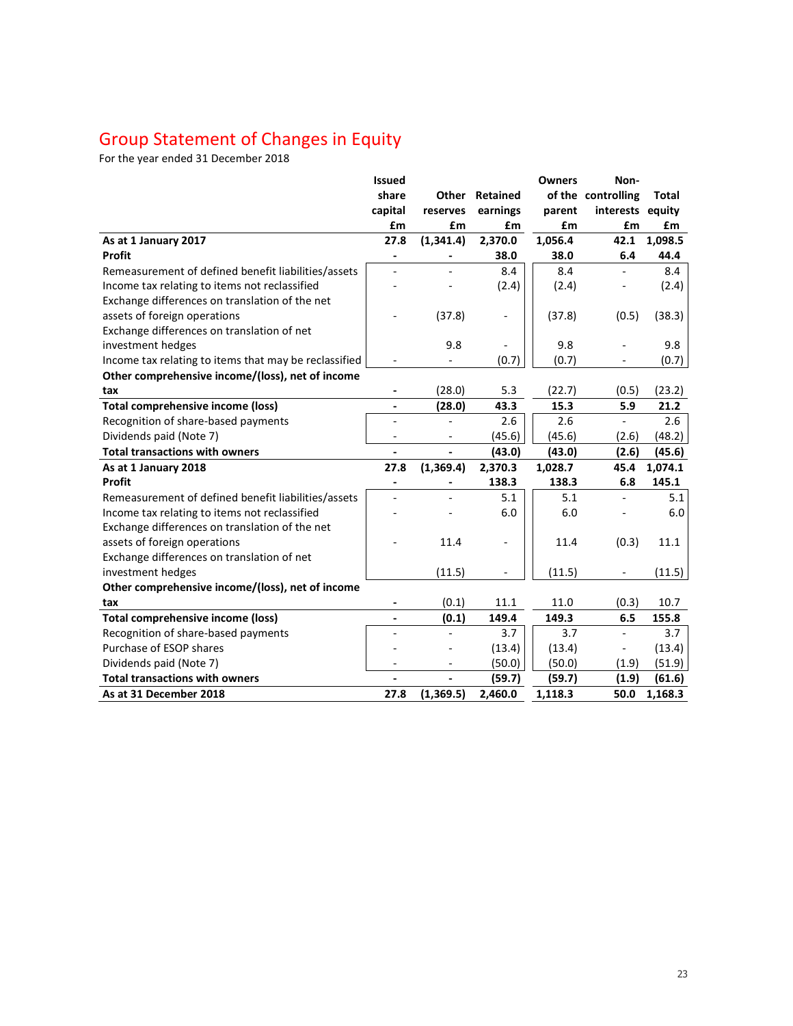### Group Statement of Changes in Equity

For the year ended 31 December 2018

|                                                       | <b>Issued</b>                |              |          | <b>Owners</b> | Non-                     |              |
|-------------------------------------------------------|------------------------------|--------------|----------|---------------|--------------------------|--------------|
|                                                       | share                        | <b>Other</b> | Retained |               | of the controlling       | <b>Total</b> |
|                                                       | capital                      | reserves     | earnings | parent        | interests equity         |              |
|                                                       | £m                           | £m           | £m       | £m            | £m                       | £m           |
| As at 1 January 2017                                  | 27.8                         | (1,341.4)    | 2,370.0  | 1,056.4       | 42.1                     | 1,098.5      |
| <b>Profit</b>                                         | $\qquad \qquad \blacksquare$ |              | 38.0     | 38.0          | 6.4                      | 44.4         |
| Remeasurement of defined benefit liabilities/assets   |                              |              | 8.4      | 8.4           |                          | 8.4          |
| Income tax relating to items not reclassified         |                              |              | (2.4)    | (2.4)         |                          | (2.4)        |
| Exchange differences on translation of the net        |                              |              |          |               |                          |              |
| assets of foreign operations                          |                              | (37.8)       |          | (37.8)        | (0.5)                    | (38.3)       |
| Exchange differences on translation of net            |                              |              |          |               |                          |              |
| investment hedges                                     |                              | 9.8          |          | 9.8           |                          | 9.8          |
| Income tax relating to items that may be reclassified |                              |              | (0.7)    | (0.7)         | $\overline{\phantom{a}}$ | (0.7)        |
| Other comprehensive income/(loss), net of income      |                              |              |          |               |                          |              |
| tax                                                   | $\overline{\phantom{a}}$     | (28.0)       | 5.3      | (22.7)        | (0.5)                    | (23.2)       |
| <b>Total comprehensive income (loss)</b>              | $\overline{\phantom{a}}$     | (28.0)       | 43.3     | 15.3          | 5.9                      | 21.2         |
| Recognition of share-based payments                   | $\overline{a}$               |              | 2.6      | 2.6           |                          | 2.6          |
| Dividends paid (Note 7)                               |                              |              | (45.6)   | (45.6)        | (2.6)                    | (48.2)       |
| <b>Total transactions with owners</b>                 |                              |              | (43.0)   | (43.0)        | (2.6)                    | (45.6)       |
| As at 1 January 2018                                  | 27.8                         | (1,369.4)    | 2,370.3  | 1,028.7       | 45.4                     | 1,074.1      |
| Profit                                                | $\qquad \qquad \blacksquare$ |              | 138.3    | 138.3         | 6.8                      | 145.1        |
| Remeasurement of defined benefit liabilities/assets   |                              |              | 5.1      | 5.1           |                          | 5.1          |
| Income tax relating to items not reclassified         |                              |              | 6.0      | 6.0           |                          | 6.0          |
| Exchange differences on translation of the net        |                              |              |          |               |                          |              |
| assets of foreign operations                          |                              | 11.4         |          | 11.4          | (0.3)                    | 11.1         |
| Exchange differences on translation of net            |                              |              |          |               |                          |              |
| investment hedges                                     |                              | (11.5)       |          | (11.5)        |                          | (11.5)       |
| Other comprehensive income/(loss), net of income      |                              |              |          |               |                          |              |
| tax                                                   |                              | (0.1)        | 11.1     | 11.0          | (0.3)                    | 10.7         |
| <b>Total comprehensive income (loss)</b>              |                              | (0.1)        | 149.4    | 149.3         | 6.5                      | 155.8        |
| Recognition of share-based payments                   |                              |              | 3.7      | 3.7           |                          | 3.7          |
| Purchase of ESOP shares                               |                              |              | (13.4)   | (13.4)        | $\overline{\phantom{a}}$ | (13.4)       |
| Dividends paid (Note 7)                               |                              |              | (50.0)   | (50.0)        | (1.9)                    | (51.9)       |
| <b>Total transactions with owners</b>                 |                              |              | (59.7)   | (59.7)        | (1.9)                    | (61.6)       |
| As at 31 December 2018                                | 27.8                         | (1,369.5)    | 2,460.0  | 1,118.3       | 50.0                     | 1,168.3      |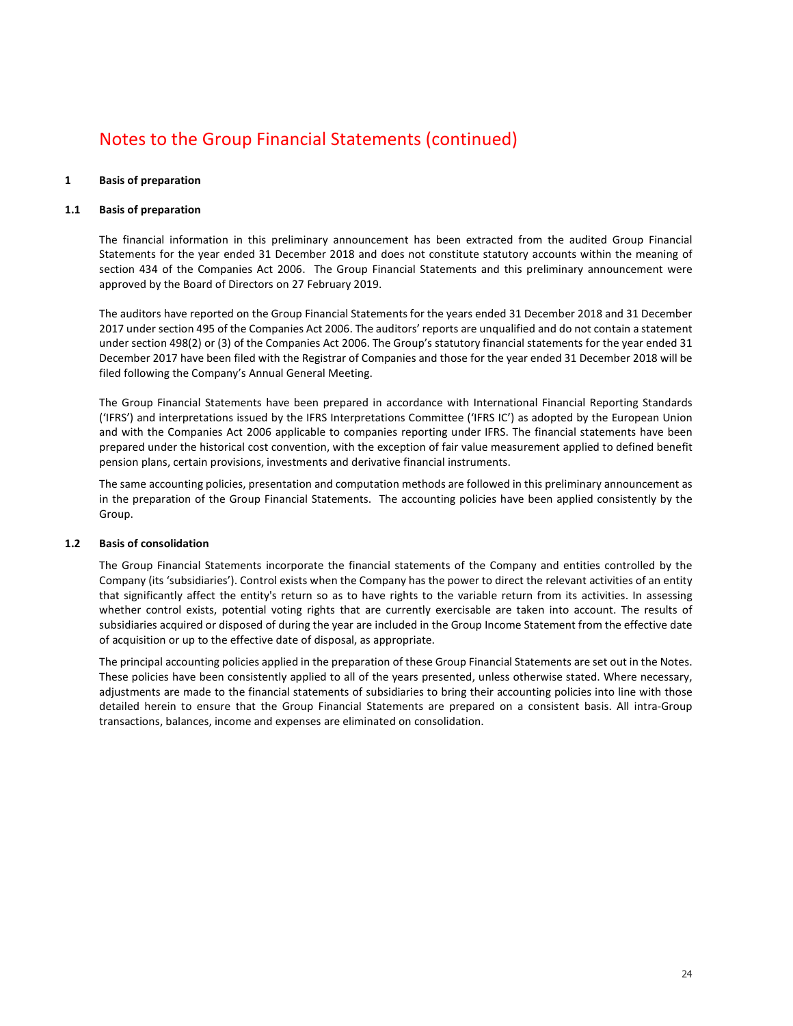### **1 Basis of preparation**

### **1.1 Basis of preparation**

The financial information in this preliminary announcement has been extracted from the audited Group Financial Statements for the year ended 31 December 2018 and does not constitute statutory accounts within the meaning of section 434 of the Companies Act 2006. The Group Financial Statements and this preliminary announcement were approved by the Board of Directors on 27 February 2019.

The auditors have reported on the Group Financial Statements for the years ended 31 December 2018 and 31 December 2017 under section 495 of the Companies Act 2006. The auditors' reports are unqualified and do not contain a statement under section 498(2) or (3) of the Companies Act 2006. The Group's statutory financial statements for the year ended 31 December 2017 have been filed with the Registrar of Companies and those for the year ended 31 December 2018 will be filed following the Company's Annual General Meeting.

The Group Financial Statements have been prepared in accordance with International Financial Reporting Standards ('IFRS') and interpretations issued by the IFRS Interpretations Committee ('IFRS IC') as adopted by the European Union and with the Companies Act 2006 applicable to companies reporting under IFRS. The financial statements have been prepared under the historical cost convention, with the exception of fair value measurement applied to defined benefit pension plans, certain provisions, investments and derivative financial instruments.

The same accounting policies, presentation and computation methods are followed in this preliminary announcement as in the preparation of the Group Financial Statements. The accounting policies have been applied consistently by the Group.

### **1.2 Basis of consolidation**

The Group Financial Statements incorporate the financial statements of the Company and entities controlled by the Company (its 'subsidiaries'). Control exists when the Company has the power to direct the relevant activities of an entity that significantly affect the entity's return so as to have rights to the variable return from its activities. In assessing whether control exists, potential voting rights that are currently exercisable are taken into account. The results of subsidiaries acquired or disposed of during the year are included in the Group Income Statement from the effective date of acquisition or up to the effective date of disposal, as appropriate.

The principal accounting policies applied in the preparation of these Group Financial Statements are set out in the Notes. These policies have been consistently applied to all of the years presented, unless otherwise stated. Where necessary, adjustments are made to the financial statements of subsidiaries to bring their accounting policies into line with those detailed herein to ensure that the Group Financial Statements are prepared on a consistent basis. All intra-Group transactions, balances, income and expenses are eliminated on consolidation.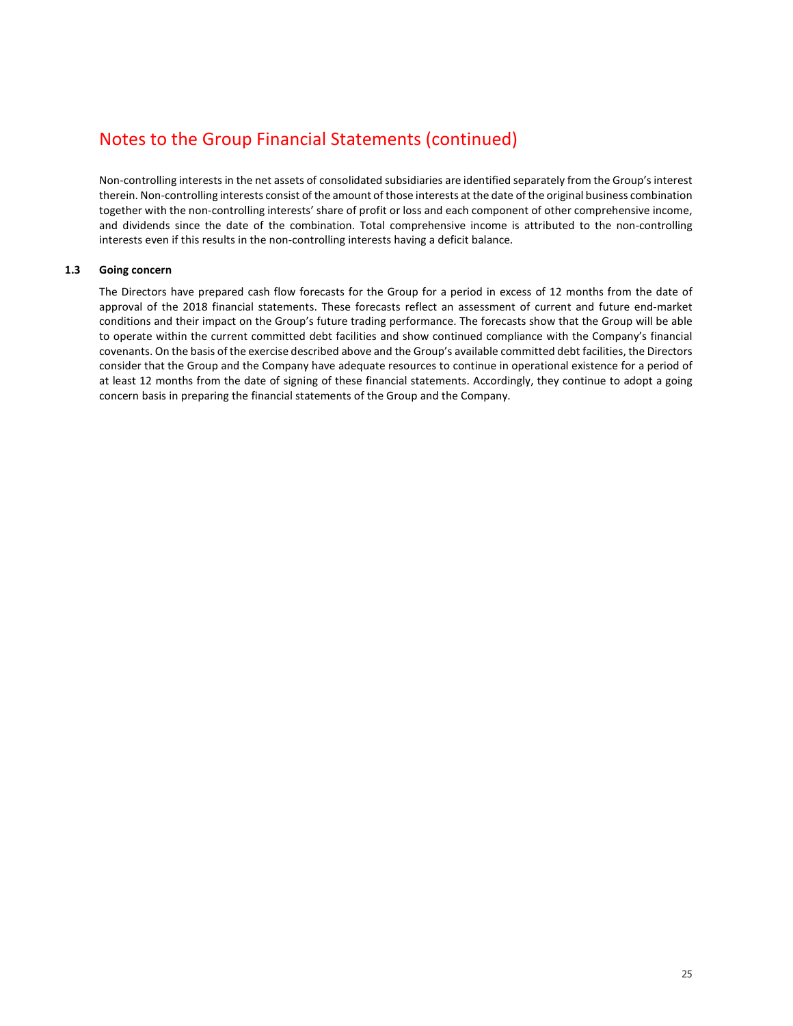Non-controlling interests in the net assets of consolidated subsidiaries are identified separately from the Group's interest therein. Non-controlling interests consist of the amount of those interests at the date of the original business combination together with the non-controlling interests' share of profit or loss and each component of other comprehensive income, and dividends since the date of the combination. Total comprehensive income is attributed to the non-controlling interests even if this results in the non-controlling interests having a deficit balance.

### **1.3 Going concern**

The Directors have prepared cash flow forecasts for the Group for a period in excess of 12 months from the date of approval of the 2018 financial statements. These forecasts reflect an assessment of current and future end-market conditions and their impact on the Group's future trading performance. The forecasts show that the Group will be able to operate within the current committed debt facilities and show continued compliance with the Company's financial covenants. On the basis of the exercise described above and the Group's available committed debt facilities, the Directors consider that the Group and the Company have adequate resources to continue in operational existence for a period of at least 12 months from the date of signing of these financial statements. Accordingly, they continue to adopt a going concern basis in preparing the financial statements of the Group and the Company.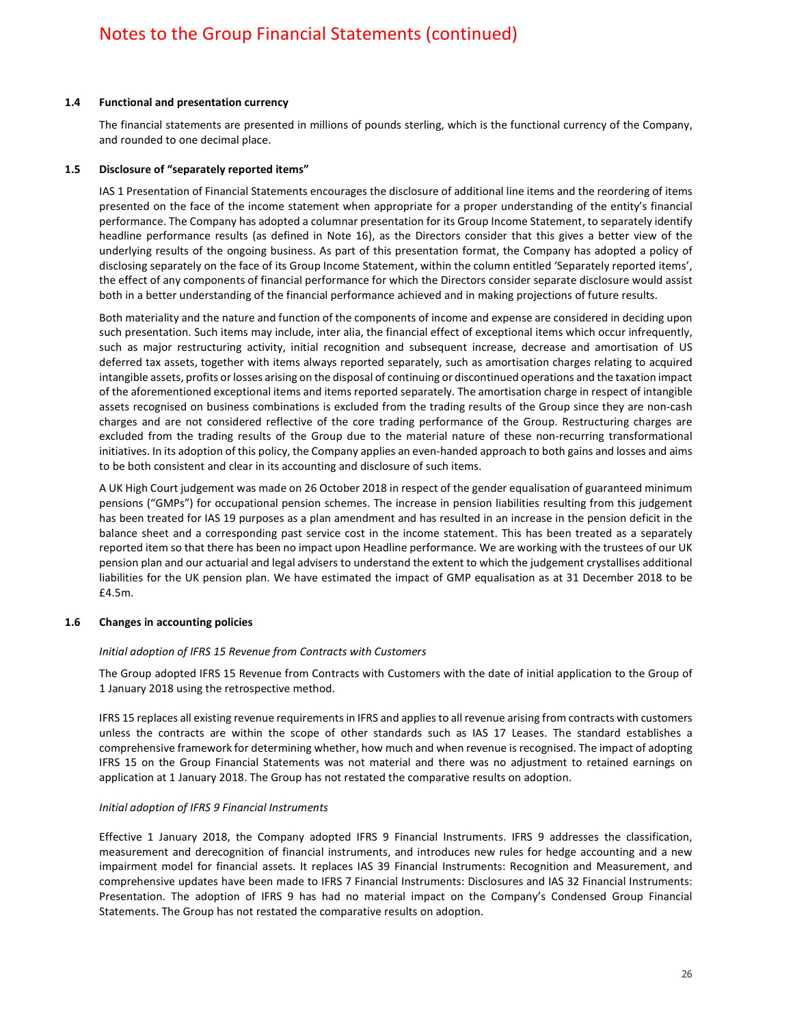### **1.4 Functional and presentation currency**

The financial statements are presented in millions of pounds sterling, which is the functional currency of the Company, and rounded to one decimal place.

### **1.5 Disclosure of "separately reported items"**

IAS 1 Presentation of Financial Statements encourages the disclosure of additional line items and the reordering of items presented on the face of the income statement when appropriate for a proper understanding of the entity's financial performance. The Company has adopted a columnar presentation for its Group Income Statement, to separately identify headline performance results (as defined in Note 16), as the Directors consider that this gives a better view of the underlying results of the ongoing business. As part of this presentation format, the Company has adopted a policy of disclosing separately on the face of its Group Income Statement, within the column entitled 'Separately reported items', the effect of any components of financial performance for which the Directors consider separate disclosure would assist both in a better understanding of the financial performance achieved and in making projections of future results.

Both materiality and the nature and function of the components of income and expense are considered in deciding upon such presentation. Such items may include, inter alia, the financial effect of exceptional items which occur infrequently, such as major restructuring activity, initial recognition and subsequent increase, decrease and amortisation of US deferred tax assets, together with items always reported separately, such as amortisation charges relating to acquired intangible assets, profits or losses arising on the disposal of continuing or discontinued operations and the taxation impact of the aforementioned exceptional items and items reported separately. The amortisation charge in respect of intangible assets recognised on business combinations is excluded from the trading results of the Group since they are non-cash charges and are not considered reflective of the core trading performance of the Group. Restructuring charges are excluded from the trading results of the Group due to the material nature of these non-recurring transformational initiatives. In its adoption of this policy, the Company applies an even-handed approach to both gains and losses and aims to be both consistent and clear in its accounting and disclosure of such items.

A UK High Court judgement was made on 26 October 2018 in respect of the gender equalisation of guaranteed minimum pensions ("GMPs") for occupational pension schemes. The increase in pension liabilities resulting from this judgement has been treated for IAS 19 purposes as a plan amendment and has resulted in an increase in the pension deficit in the balance sheet and a corresponding past service cost in the income statement. This has been treated as a separately reported item so that there has been no impact upon Headline performance. We are working with the trustees of our UK pension plan and our actuarial and legal advisers to understand the extent to which the judgement crystallises additional liabilities for the UK pension plan. We have estimated the impact of GMP equalisation as at 31 December 2018 to be £4.5m.

### **1.6 Changes in accounting policies**

### *Initial adoption of IFRS 15 Revenue from Contracts with Customers*

The Group adopted IFRS 15 Revenue from Contracts with Customers with the date of initial application to the Group of 1 January 2018 using the retrospective method.

IFRS 15 replaces all existing revenue requirements in IFRS and applies to all revenue arising from contracts with customers unless the contracts are within the scope of other standards such as IAS 17 Leases. The standard establishes a comprehensive framework for determining whether, how much and when revenue is recognised. The impact of adopting IFRS 15 on the Group Financial Statements was not material and there was no adjustment to retained earnings on application at 1 January 2018. The Group has not restated the comparative results on adoption.

### *Initial adoption of IFRS 9 Financial Instruments*

Effective 1 January 2018, the Company adopted IFRS 9 Financial Instruments. IFRS 9 addresses the classification, measurement and derecognition of financial instruments, and introduces new rules for hedge accounting and a new impairment model for financial assets. It replaces IAS 39 Financial Instruments: Recognition and Measurement, and comprehensive updates have been made to IFRS 7 Financial Instruments: Disclosures and IAS 32 Financial Instruments: Presentation. The adoption of IFRS 9 has had no material impact on the Company's Condensed Group Financial Statements. The Group has not restated the comparative results on adoption.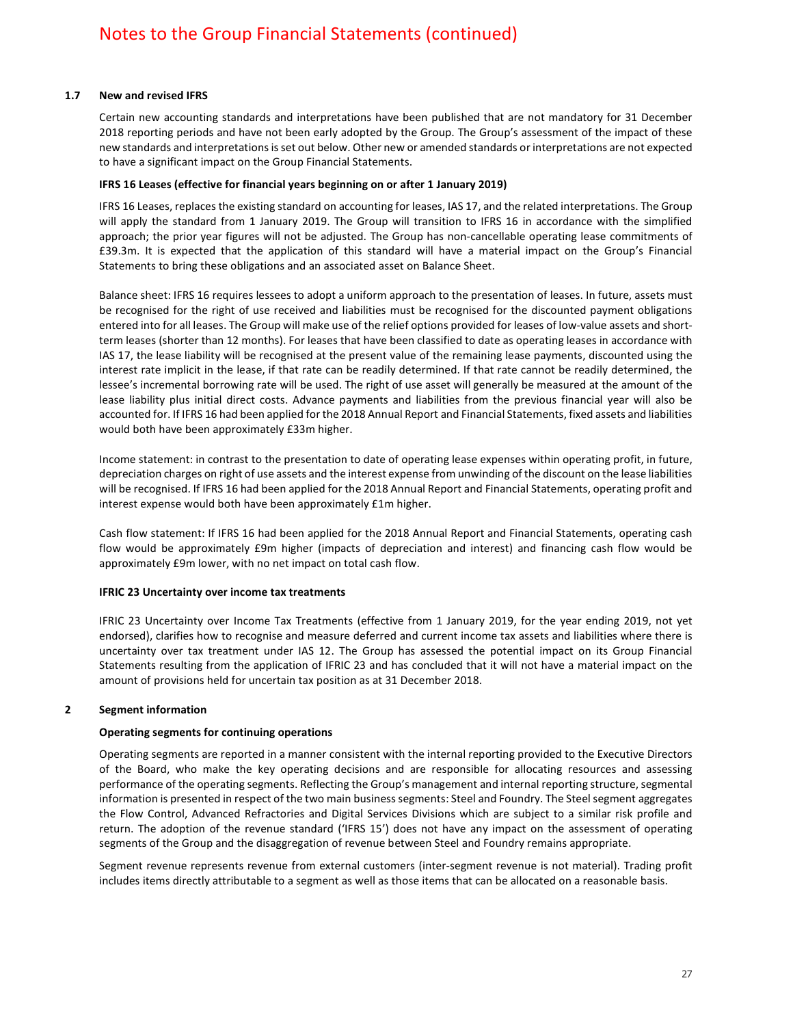### **1.7 New and revised IFRS**

Certain new accounting standards and interpretations have been published that are not mandatory for 31 December 2018 reporting periods and have not been early adopted by the Group. The Group's assessment of the impact of these new standards and interpretations is set out below. Other new or amended standards or interpretations are not expected to have a significant impact on the Group Financial Statements.

### **IFRS 16 Leases (effective for financial years beginning on or after 1 January 2019)**

IFRS 16 Leases, replaces the existing standard on accounting for leases, IAS 17, and the related interpretations. The Group will apply the standard from 1 January 2019. The Group will transition to IFRS 16 in accordance with the simplified approach; the prior year figures will not be adjusted. The Group has non-cancellable operating lease commitments of £39.3m. It is expected that the application of this standard will have a material impact on the Group's Financial Statements to bring these obligations and an associated asset on Balance Sheet.

Balance sheet: IFRS 16 requires lessees to adopt a uniform approach to the presentation of leases. In future, assets must be recognised for the right of use received and liabilities must be recognised for the discounted payment obligations entered into for all leases. The Group will make use of the relief options provided for leases of low-value assets and shortterm leases (shorter than 12 months). For leases that have been classified to date as operating leases in accordance with IAS 17, the lease liability will be recognised at the present value of the remaining lease payments, discounted using the interest rate implicit in the lease, if that rate can be readily determined. If that rate cannot be readily determined, the lessee's incremental borrowing rate will be used. The right of use asset will generally be measured at the amount of the lease liability plus initial direct costs. Advance payments and liabilities from the previous financial year will also be accounted for. If IFRS 16 had been applied for the 2018 Annual Report and Financial Statements, fixed assets and liabilities would both have been approximately £33m higher.

Income statement: in contrast to the presentation to date of operating lease expenses within operating profit, in future, depreciation charges on right of use assets and the interest expense from unwinding of the discount on the lease liabilities will be recognised. If IFRS 16 had been applied for the 2018 Annual Report and Financial Statements, operating profit and interest expense would both have been approximately £1m higher.

Cash flow statement: If IFRS 16 had been applied for the 2018 Annual Report and Financial Statements, operating cash flow would be approximately £9m higher (impacts of depreciation and interest) and financing cash flow would be approximately £9m lower, with no net impact on total cash flow.

### **IFRIC 23 Uncertainty over income tax treatments**

IFRIC 23 Uncertainty over Income Tax Treatments (effective from 1 January 2019, for the year ending 2019, not yet endorsed), clarifies how to recognise and measure deferred and current income tax assets and liabilities where there is uncertainty over tax treatment under IAS 12. The Group has assessed the potential impact on its Group Financial Statements resulting from the application of IFRIC 23 and has concluded that it will not have a material impact on the amount of provisions held for uncertain tax position as at 31 December 2018.

### **2 Segment information**

### **Operating segments for continuing operations**

Operating segments are reported in a manner consistent with the internal reporting provided to the Executive Directors of the Board, who make the key operating decisions and are responsible for allocating resources and assessing performance of the operating segments. Reflecting the Group's management and internal reporting structure, segmental information is presented in respect of the two main business segments: Steel and Foundry. The Steel segment aggregates the Flow Control, Advanced Refractories and Digital Services Divisions which are subject to a similar risk profile and return. The adoption of the revenue standard ('IFRS 15') does not have any impact on the assessment of operating segments of the Group and the disaggregation of revenue between Steel and Foundry remains appropriate.

Segment revenue represents revenue from external customers (inter-segment revenue is not material). Trading profit includes items directly attributable to a segment as well as those items that can be allocated on a reasonable basis.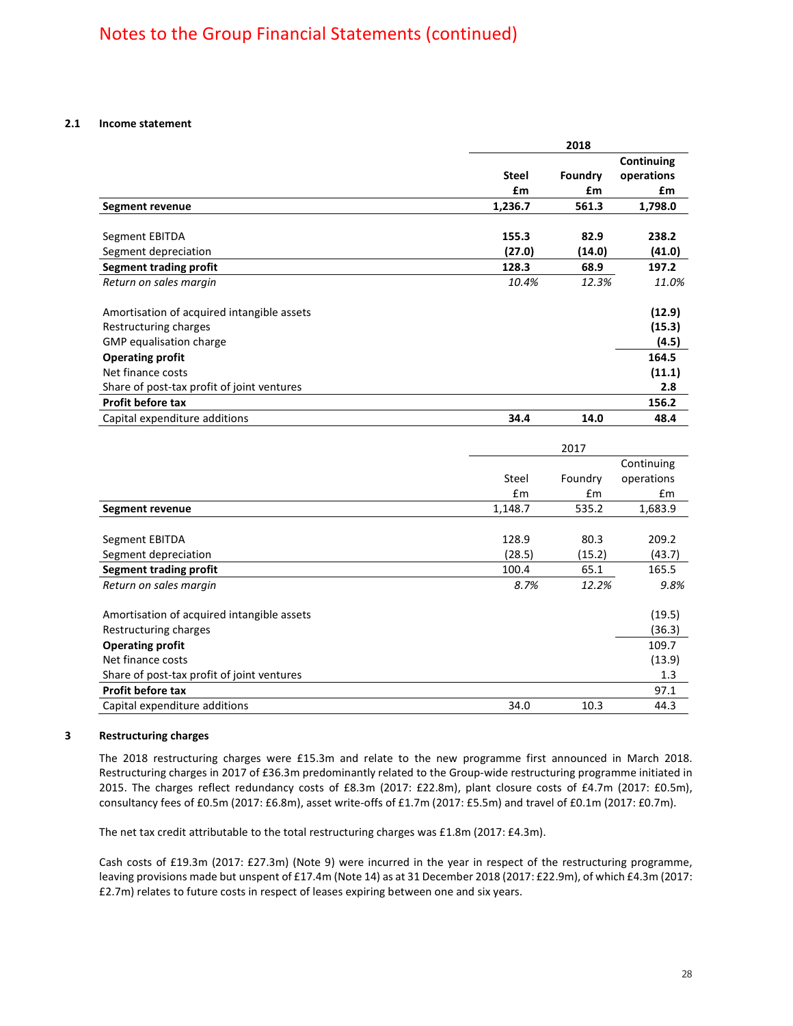### **2.1 Income statement**

|                                            | 2018         |         |                          |  |
|--------------------------------------------|--------------|---------|--------------------------|--|
|                                            |              |         | Continuing<br>operations |  |
|                                            | <b>Steel</b> | Foundry |                          |  |
|                                            | £m           | £m      | £m                       |  |
| Segment revenue                            | 1,236.7      | 561.3   | 1,798.0                  |  |
|                                            |              |         |                          |  |
| Segment EBITDA                             | 155.3        | 82.9    | 238.2                    |  |
| Segment depreciation                       | (27.0)       | (14.0)  | (41.0)                   |  |
| Segment trading profit                     | 128.3        | 68.9    | 197.2                    |  |
| Return on sales margin                     | 10.4%        | 12.3%   | 11.0%                    |  |
| Amortisation of acquired intangible assets |              |         | (12.9)                   |  |
| Restructuring charges                      |              |         | (15.3)                   |  |
| GMP equalisation charge                    |              |         | (4.5)                    |  |
| <b>Operating profit</b>                    |              |         | 164.5                    |  |
| Net finance costs                          |              |         | (11.1)                   |  |
| Share of post-tax profit of joint ventures |              |         | 2.8                      |  |
| Profit before tax                          |              |         | 156.2                    |  |
| Capital expenditure additions              | 34.4         | 14.0    | 48.4                     |  |

| Continuing<br>operations |
|--------------------------|
|                          |
|                          |
| £m                       |
| 1,683.9                  |
|                          |
| 209.2                    |
| (43.7)                   |
| 165.5                    |
| 9.8%                     |
|                          |
| (19.5)                   |
| (36.3)                   |
| 109.7                    |
| (13.9)                   |
| 1.3                      |
| 97.1                     |
| 44.3                     |
|                          |

### **3 Restructuring charges**

The 2018 restructuring charges were £15.3m and relate to the new programme first announced in March 2018. Restructuring charges in 2017 of £36.3m predominantly related to the Group-wide restructuring programme initiated in 2015. The charges reflect redundancy costs of £8.3m (2017: £22.8m), plant closure costs of £4.7m (2017: £0.5m), consultancy fees of £0.5m (2017: £6.8m), asset write-offs of £1.7m (2017: £5.5m) and travel of £0.1m (2017: £0.7m).

The net tax credit attributable to the total restructuring charges was £1.8m (2017: £4.3m).

Cash costs of £19.3m (2017: £27.3m) (Note 9) were incurred in the year in respect of the restructuring programme, leaving provisions made but unspent of £17.4m (Note 14) as at 31 December 2018 (2017: £22.9m), of which £4.3m (2017: £2.7m) relates to future costs in respect of leases expiring between one and six years.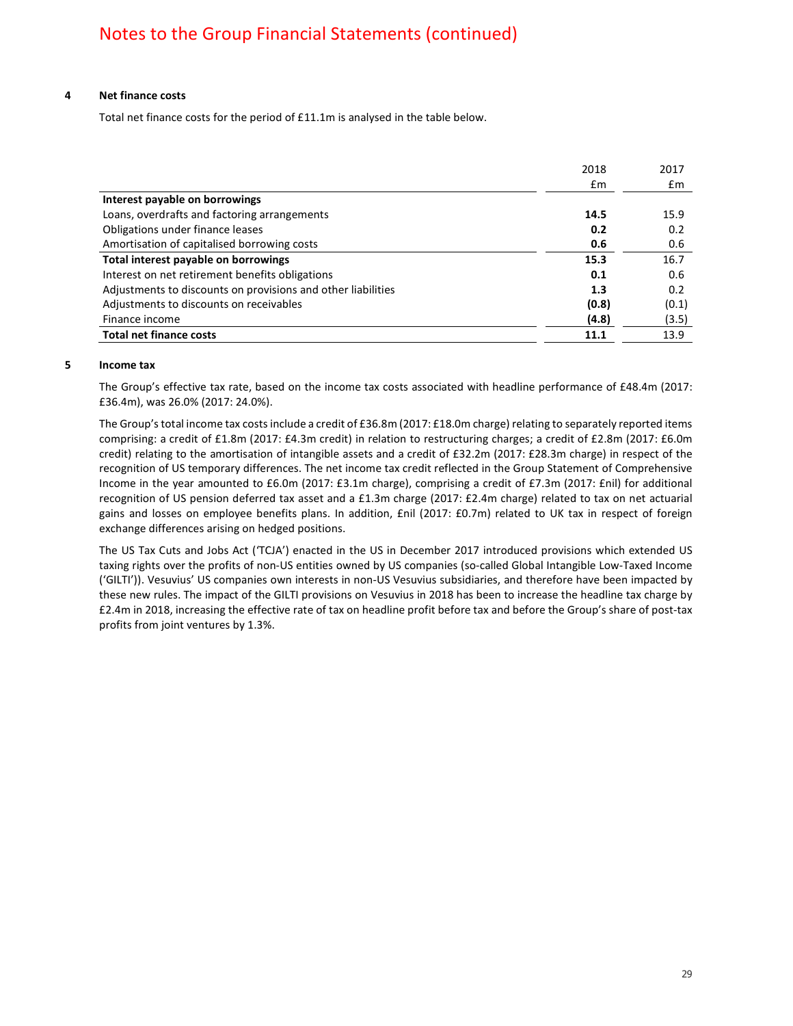### **4 Net finance costs**

Total net finance costs for the period of £11.1m is analysed in the table below.

|                                                              | 2018  | 2017           |
|--------------------------------------------------------------|-------|----------------|
|                                                              | £m    | $\mathbf{f}$ m |
| Interest payable on borrowings                               |       |                |
| Loans, overdrafts and factoring arrangements                 | 14.5  | 15.9           |
| Obligations under finance leases                             | 0.2   | 0.2            |
| Amortisation of capitalised borrowing costs                  | 0.6   | 0.6            |
| Total interest payable on borrowings                         | 15.3  | 16.7           |
| Interest on net retirement benefits obligations              | 0.1   | 0.6            |
| Adjustments to discounts on provisions and other liabilities | 1.3   | 0.2            |
| Adjustments to discounts on receivables                      | (0.8) | (0.1)          |
| Finance income                                               | (4.8) | (3.5)          |
| <b>Total net finance costs</b>                               | 11.1  | 13.9           |

### **5 Income tax**

The Group's effective tax rate, based on the income tax costs associated with headline performance of £48.4m (2017: £36.4m), was 26.0% (2017: 24.0%).

The Group's total income tax costs include a credit of £36.8m (2017: £18.0m charge) relating to separately reported items comprising: a credit of £1.8m (2017: £4.3m credit) in relation to restructuring charges; a credit of £2.8m (2017: £6.0m credit) relating to the amortisation of intangible assets and a credit of £32.2m (2017: £28.3m charge) in respect of the recognition of US temporary differences. The net income tax credit reflected in the Group Statement of Comprehensive Income in the year amounted to £6.0m (2017: £3.1m charge), comprising a credit of £7.3m (2017: £nil) for additional recognition of US pension deferred tax asset and a £1.3m charge (2017: £2.4m charge) related to tax on net actuarial gains and losses on employee benefits plans. In addition, £nil (2017: £0.7m) related to UK tax in respect of foreign exchange differences arising on hedged positions.

The US Tax Cuts and Jobs Act ('TCJA') enacted in the US in December 2017 introduced provisions which extended US taxing rights over the profits of non-US entities owned by US companies (so-called Global Intangible Low-Taxed Income ('GILTI')). Vesuvius' US companies own interests in non-US Vesuvius subsidiaries, and therefore have been impacted by these new rules. The impact of the GILTI provisions on Vesuvius in 2018 has been to increase the headline tax charge by £2.4m in 2018, increasing the effective rate of tax on headline profit before tax and before the Group's share of post-tax profits from joint ventures by 1.3%.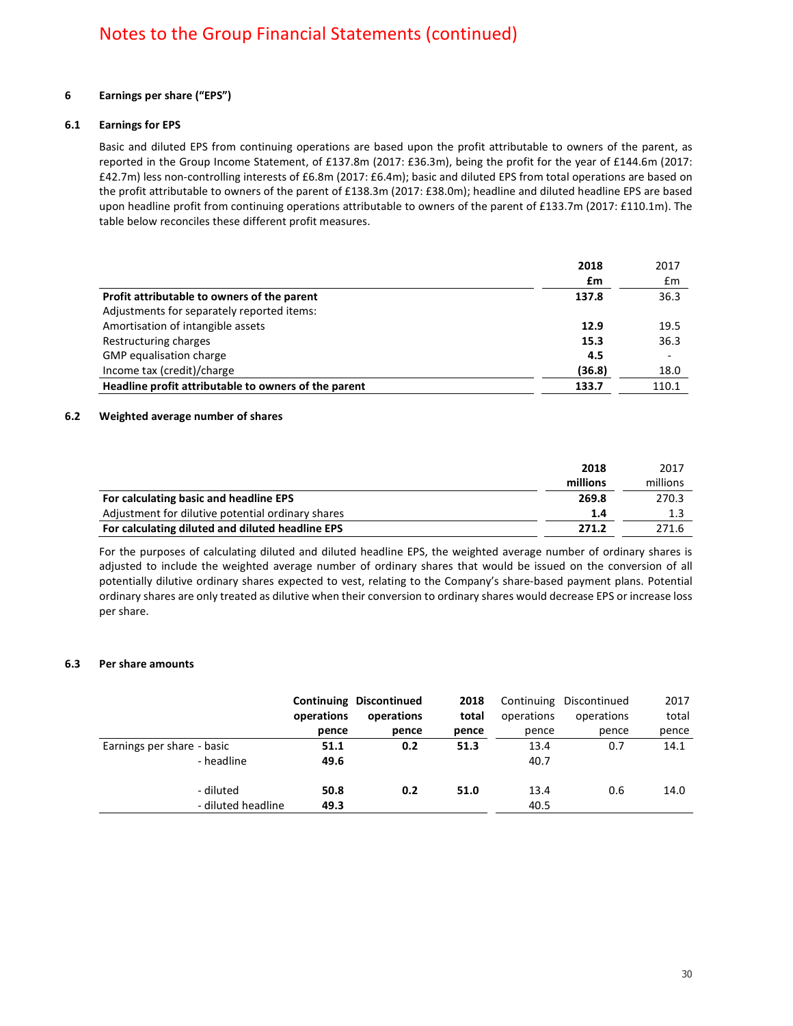### **6 Earnings per share ("EPS")**

### **6.1 Earnings for EPS**

Basic and diluted EPS from continuing operations are based upon the profit attributable to owners of the parent, as reported in the Group Income Statement, of £137.8m (2017: £36.3m), being the profit for the year of £144.6m (2017: £42.7m) less non-controlling interests of £6.8m (2017: £6.4m); basic and diluted EPS from total operations are based on the profit attributable to owners of the parent of £138.3m (2017: £38.0m); headline and diluted headline EPS are based upon headline profit from continuing operations attributable to owners of the parent of £133.7m (2017: £110.1m). The table below reconciles these different profit measures.

|                                                      | 2018   | 2017                     |
|------------------------------------------------------|--------|--------------------------|
|                                                      | £m     | Em                       |
| Profit attributable to owners of the parent          | 137.8  | 36.3                     |
| Adjustments for separately reported items:           |        |                          |
| Amortisation of intangible assets                    | 12.9   | 19.5                     |
| Restructuring charges                                | 15.3   | 36.3                     |
| GMP equalisation charge                              | 4.5    | $\overline{\phantom{a}}$ |
| Income tax (credit)/charge                           | (36.8) | 18.0                     |
| Headline profit attributable to owners of the parent | 133.7  | 110.1                    |

### **6.2 Weighted average number of shares**

|                                                   | 2018     | 2017     |
|---------------------------------------------------|----------|----------|
|                                                   | millions | millions |
| For calculating basic and headline EPS            | 269.8    | 270.3    |
| Adjustment for dilutive potential ordinary shares | 1.4      |          |
| For calculating diluted and diluted headline EPS  | 271.2    | 271.6    |

For the purposes of calculating diluted and diluted headline EPS, the weighted average number of ordinary shares is adjusted to include the weighted average number of ordinary shares that would be issued on the conversion of all potentially dilutive ordinary shares expected to vest, relating to the Company's share-based payment plans. Potential ordinary shares are only treated as dilutive when their conversion to ordinary shares would decrease EPS or increase loss per share.

### **6.3 Per share amounts**

|                                          | operations<br>pence | <b>Continuing Discontinued</b><br>operations<br>pence | 2018<br>total<br>pence | Continuing<br>operations<br>pence | Discontinued<br>operations<br>pence | 2017<br>total<br>pence |
|------------------------------------------|---------------------|-------------------------------------------------------|------------------------|-----------------------------------|-------------------------------------|------------------------|
| Earnings per share - basic<br>- headline | 51.1<br>49.6        | 0.2                                                   | 51.3                   | 13.4<br>40.7                      | 0.7                                 | 14.1                   |
| - diluted<br>- diluted headline          | 50.8<br>49.3        | 0.2                                                   | 51.0                   | 13.4<br>40.5                      | 0.6                                 | 14.0                   |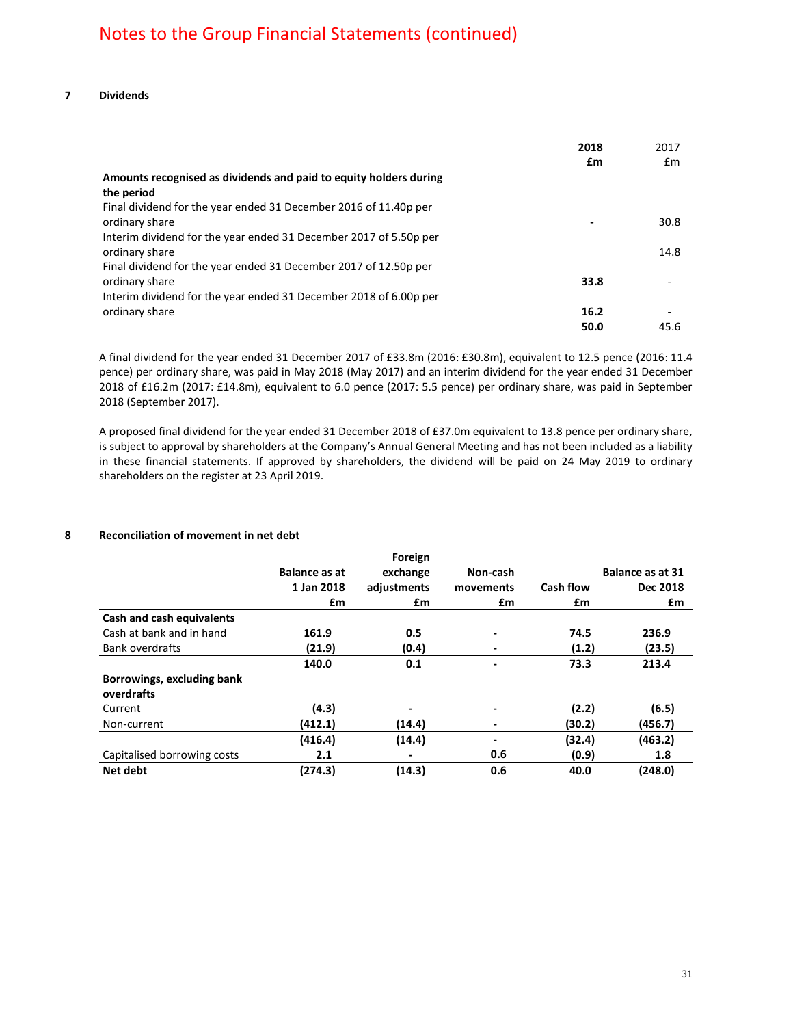|                                                                   | 2018 | 2017 |
|-------------------------------------------------------------------|------|------|
|                                                                   | £m   | Em   |
| Amounts recognised as dividends and paid to equity holders during |      |      |
| the period                                                        |      |      |
| Final dividend for the year ended 31 December 2016 of 11.40p per  |      |      |
| ordinary share                                                    |      | 30.8 |
| Interim dividend for the year ended 31 December 2017 of 5.50p per |      |      |
| ordinary share                                                    |      | 14.8 |
| Final dividend for the year ended 31 December 2017 of 12.50p per  |      |      |
| ordinary share                                                    | 33.8 |      |
| Interim dividend for the year ended 31 December 2018 of 6.00p per |      |      |
| ordinary share                                                    | 16.2 |      |
|                                                                   | 50.0 | 45.6 |

A final dividend for the year ended 31 December 2017 of £33.8m (2016: £30.8m), equivalent to 12.5 pence (2016: 11.4 pence) per ordinary share, was paid in May 2018 (May 2017) and an interim dividend for the year ended 31 December 2018 of £16.2m (2017: £14.8m), equivalent to 6.0 pence (2017: 5.5 pence) per ordinary share, was paid in September 2018 (September 2017).

A proposed final dividend for the year ended 31 December 2018 of £37.0m equivalent to 13.8 pence per ordinary share, is subject to approval by shareholders at the Company's Annual General Meeting and has not been included as a liability in these financial statements. If approved by shareholders, the dividend will be paid on 24 May 2019 to ordinary shareholders on the register at 23 April 2019.

### **8 Reconciliation of movement in net debt**

|                             |               | Foreign                  |                              |                  |                         |
|-----------------------------|---------------|--------------------------|------------------------------|------------------|-------------------------|
|                             | Balance as at | exchange                 | Non-cash                     |                  | <b>Balance as at 31</b> |
|                             | 1 Jan 2018    | adjustments              | movements                    | <b>Cash flow</b> | Dec 2018                |
|                             | £m            | £m                       | £m                           | £m               | £m                      |
| Cash and cash equivalents   |               |                          |                              |                  |                         |
| Cash at bank and in hand    | 161.9         | 0.5                      | $\overline{\phantom{0}}$     | 74.5             | 236.9                   |
| <b>Bank overdrafts</b>      | (21.9)        | (0.4)                    |                              | (1.2)            | (23.5)                  |
|                             | 140.0         | 0.1                      |                              | 73.3             | 213.4                   |
| Borrowings, excluding bank  |               |                          |                              |                  |                         |
| overdrafts                  |               |                          |                              |                  |                         |
| Current                     | (4.3)         | $\overline{\phantom{a}}$ |                              | (2.2)            | (6.5)                   |
| Non-current                 | (412.1)       | (14.4)                   |                              | (30.2)           | (456.7)                 |
|                             | (416.4)       | (14.4)                   | $\qquad \qquad \blacksquare$ | (32.4)           | (463.2)                 |
| Capitalised borrowing costs | 2.1           |                          | 0.6                          | (0.9)            | 1.8                     |
| Net debt                    | (274.3)       | (14.3)                   | 0.6                          | 40.0             | (248.0)                 |
|                             |               |                          |                              |                  |                         |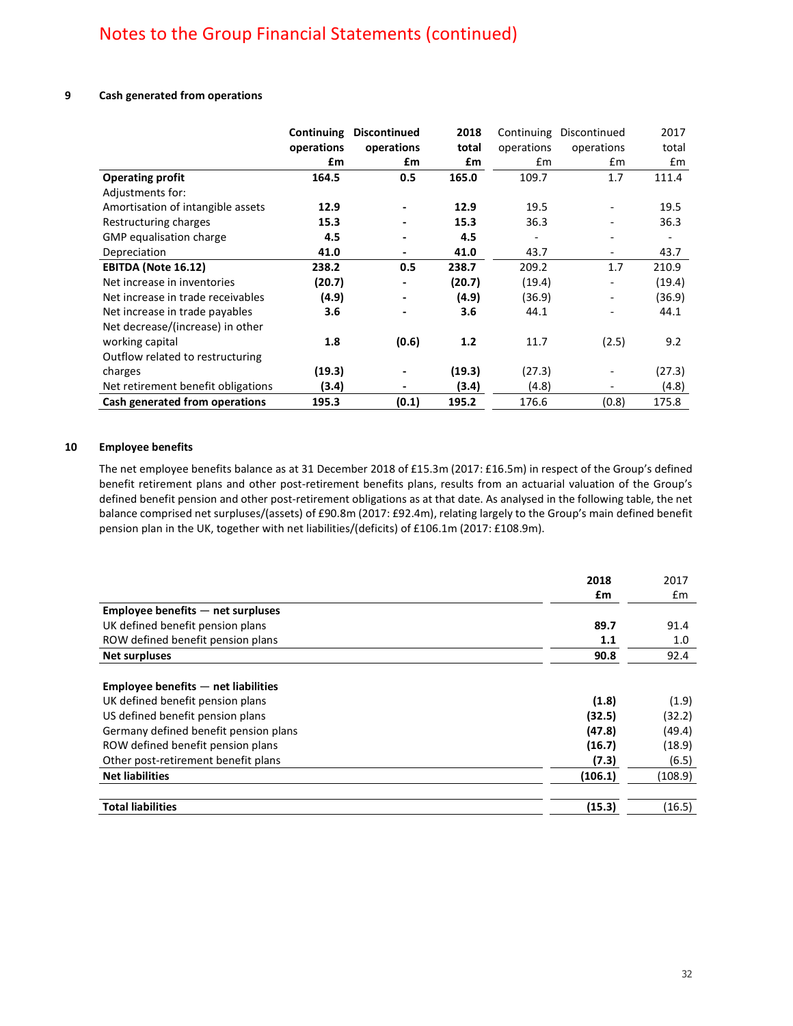### **9 Cash generated from operations**

|                                    | <b>Continuing</b><br>operations | <b>Discontinued</b><br>operations | 2018<br>total | Continuing<br>operations | Discontinued<br>operations | 2017<br>total            |
|------------------------------------|---------------------------------|-----------------------------------|---------------|--------------------------|----------------------------|--------------------------|
|                                    | £m                              | £m                                | £m            | $\mathsf{fm}$            | £m                         | Em                       |
| <b>Operating profit</b>            | 164.5                           | 0.5                               | 165.0         | 109.7                    | 1.7                        | 111.4                    |
| Adjustments for:                   |                                 |                                   |               |                          |                            |                          |
| Amortisation of intangible assets  | 12.9                            |                                   | 12.9          | 19.5                     |                            | 19.5                     |
| Restructuring charges              | 15.3                            |                                   | 15.3          | 36.3                     |                            | 36.3                     |
| GMP equalisation charge            | 4.5                             |                                   | 4.5           | $\overline{\phantom{a}}$ | ۰                          | $\overline{\phantom{a}}$ |
| Depreciation                       | 41.0                            |                                   | 41.0          | 43.7                     | $\overline{\phantom{a}}$   | 43.7                     |
| <b>EBITDA (Note 16.12)</b>         | 238.2                           | 0.5                               | 238.7         | 209.2                    | 1.7                        | 210.9                    |
| Net increase in inventories        | (20.7)                          |                                   | (20.7)        | (19.4)                   |                            | (19.4)                   |
| Net increase in trade receivables  | (4.9)                           |                                   | (4.9)         | (36.9)                   | $\overline{\phantom{a}}$   | (36.9)                   |
| Net increase in trade payables     | 3.6                             |                                   | 3.6           | 44.1                     |                            | 44.1                     |
| Net decrease/(increase) in other   |                                 |                                   |               |                          |                            |                          |
| working capital                    | 1.8                             | (0.6)                             | 1.2           | 11.7                     | (2.5)                      | 9.2                      |
| Outflow related to restructuring   |                                 |                                   |               |                          |                            |                          |
| charges                            | (19.3)                          |                                   | (19.3)        | (27.3)                   |                            | (27.3)                   |
| Net retirement benefit obligations | (3.4)                           |                                   | (3.4)         | (4.8)                    |                            | (4.8)                    |
| Cash generated from operations     | 195.3                           | (0.1)                             | 195.2         | 176.6                    | (0.8)                      | 175.8                    |

### **10 Employee benefits**

The net employee benefits balance as at 31 December 2018 of £15.3m (2017: £16.5m) in respect of the Group's defined benefit retirement plans and other post-retirement benefits plans, results from an actuarial valuation of the Group's defined benefit pension and other post-retirement obligations as at that date. As analysed in the following table, the net balance comprised net surpluses/(assets) of £90.8m (2017: £92.4m), relating largely to the Group's main defined benefit pension plan in the UK, together with net liabilities/(deficits) of £106.1m (2017: £108.9m).

|                                         | 2018    | 2017          |
|-----------------------------------------|---------|---------------|
|                                         | £m      | $\mathsf{fm}$ |
| $Employee$ benefits $-$ net surpluses   |         |               |
| UK defined benefit pension plans        | 89.7    | 91.4          |
| ROW defined benefit pension plans       | 1.1     | 1.0           |
| <b>Net surpluses</b>                    | 90.8    | 92.4          |
|                                         |         |               |
| $Employee$ benefits $-$ net liabilities |         |               |
| UK defined benefit pension plans        | (1.8)   | (1.9)         |
| US defined benefit pension plans        | (32.5)  | (32.2)        |
| Germany defined benefit pension plans   | (47.8)  | (49.4)        |
| ROW defined benefit pension plans       | (16.7)  | (18.9)        |
| Other post-retirement benefit plans     | (7.3)   | (6.5)         |
| <b>Net liabilities</b>                  | (106.1) | (108.9)       |
|                                         |         |               |
| <b>Total liabilities</b>                | (15.3)  | (16.5)        |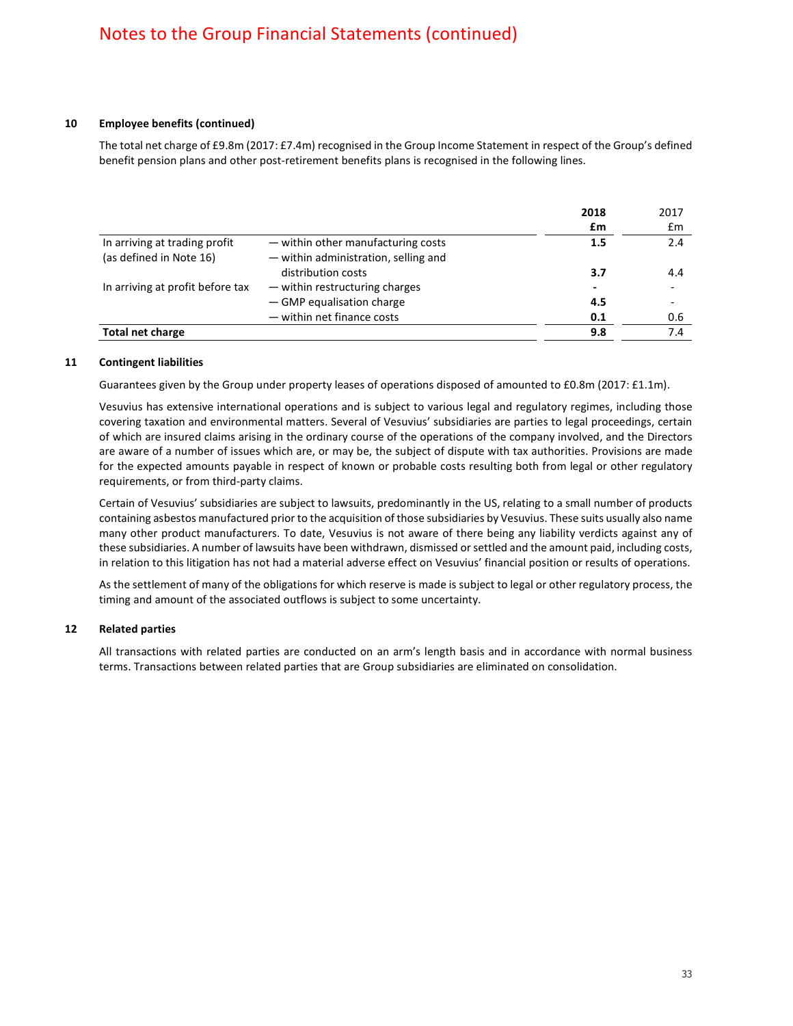### **10 Employee benefits (continued)**

The total net charge of £9.8m (2017: £7.4m) recognised in the Group Income Statement in respect of the Group's defined benefit pension plans and other post-retirement benefits plans is recognised in the following lines.

|                                                          |                                                                            | 2018                     | 2017                     |
|----------------------------------------------------------|----------------------------------------------------------------------------|--------------------------|--------------------------|
|                                                          |                                                                            | £m                       | $\mathbf{f}$ m           |
| In arriving at trading profit<br>(as defined in Note 16) | - within other manufacturing costs<br>- within administration, selling and | 1.5                      | 2.4                      |
|                                                          | distribution costs                                                         | 3.7                      | 4.4                      |
| In arriving at profit before tax                         | - within restructuring charges                                             | $\overline{\phantom{0}}$ | $\overline{\phantom{0}}$ |
|                                                          | - GMP equalisation charge                                                  | 4.5                      | -                        |
|                                                          | - within net finance costs                                                 | 0.1                      | 0.6                      |
| <b>Total net charge</b>                                  |                                                                            | 9.8                      | 7.4                      |

### **11 Contingent liabilities**

Guarantees given by the Group under property leases of operations disposed of amounted to £0.8m (2017: £1.1m).

Vesuvius has extensive international operations and is subject to various legal and regulatory regimes, including those covering taxation and environmental matters. Several of Vesuvius' subsidiaries are parties to legal proceedings, certain of which are insured claims arising in the ordinary course of the operations of the company involved, and the Directors are aware of a number of issues which are, or may be, the subject of dispute with tax authorities. Provisions are made for the expected amounts payable in respect of known or probable costs resulting both from legal or other regulatory requirements, or from third-party claims.

Certain of Vesuvius' subsidiaries are subject to lawsuits, predominantly in the US, relating to a small number of products containing asbestos manufactured prior to the acquisition of those subsidiaries by Vesuvius. These suits usually also name many other product manufacturers. To date, Vesuvius is not aware of there being any liability verdicts against any of these subsidiaries. A number of lawsuits have been withdrawn, dismissed or settled and the amount paid, including costs, in relation to this litigation has not had a material adverse effect on Vesuvius' financial position or results of operations.

As the settlement of many of the obligations for which reserve is made is subject to legal or other regulatory process, the timing and amount of the associated outflows is subject to some uncertainty.

### **12 Related parties**

All transactions with related parties are conducted on an arm's length basis and in accordance with normal business terms. Transactions between related parties that are Group subsidiaries are eliminated on consolidation.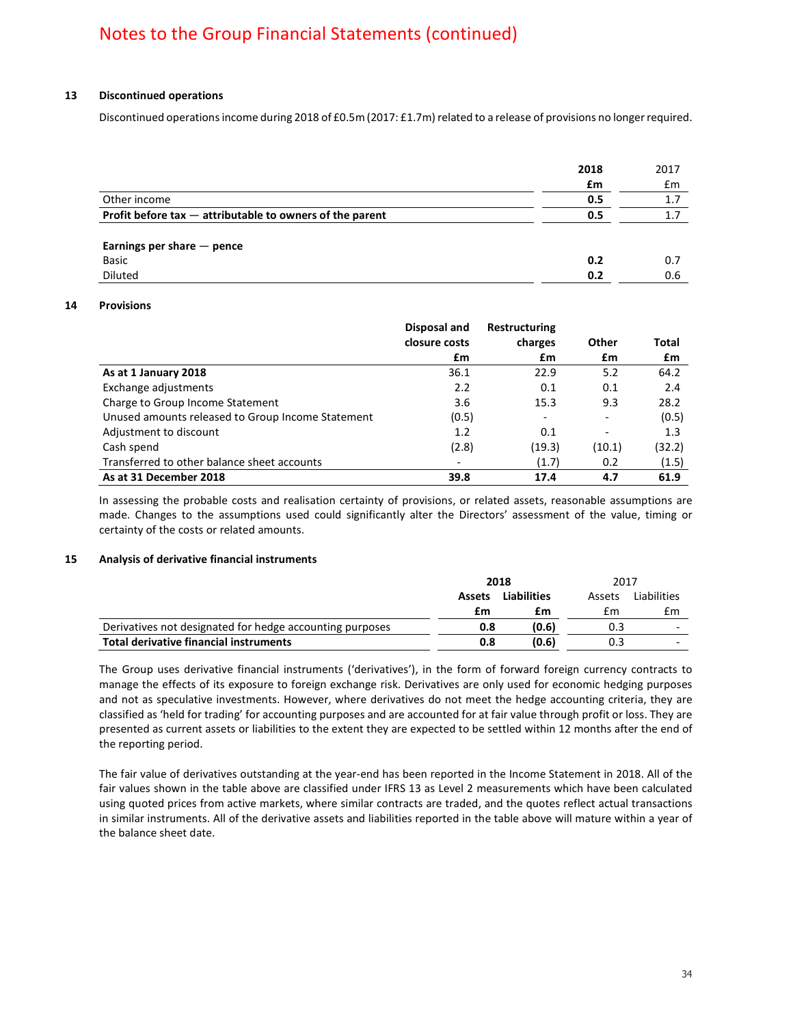### **13 Discontinued operations**

Discontinued operations income during 2018 of £0.5m (2017: £1.7m) related to a release of provisions no longer required.

|                                                             | 2018 | 2017 |
|-------------------------------------------------------------|------|------|
|                                                             | £m   | £m   |
| Other income                                                | 0.5  | 1.7  |
| Profit before $\tan -$ attributable to owners of the parent | 0.5  | 1.7  |
| Earnings per share $-$ pence                                |      |      |
| Basic                                                       | 0.2  | 0.7  |
| <b>Diluted</b>                                              | 0.2  | 0.6  |

### **14 Provisions**

|                                                   | Disposal and<br>closure costs | <b>Restructuring</b><br>charges | Other                    | Total  |
|---------------------------------------------------|-------------------------------|---------------------------------|--------------------------|--------|
|                                                   | £m                            | £m                              | £m                       | £m     |
| As at 1 January 2018                              | 36.1                          | 22.9                            | 5.2                      | 64.2   |
| Exchange adjustments                              | 2.2                           | 0.1                             | 0.1                      | 2.4    |
| Charge to Group Income Statement                  | 3.6                           | 15.3                            | 9.3                      | 28.2   |
| Unused amounts released to Group Income Statement | (0.5)                         | $\overline{\phantom{a}}$        | $\overline{\phantom{a}}$ | (0.5)  |
| Adjustment to discount                            | 1.2                           | 0.1                             | $\overline{\phantom{a}}$ | 1.3    |
| Cash spend                                        | (2.8)                         | (19.3)                          | (10.1)                   | (32.2) |
| Transferred to other balance sheet accounts       |                               | (1.7)                           | 0.2                      | (1.5)  |
| As at 31 December 2018                            | 39.8                          | 17.4                            | 4.7                      | 61.9   |

In assessing the probable costs and realisation certainty of provisions, or related assets, reasonable assumptions are made. Changes to the assumptions used could significantly alter the Directors' assessment of the value, timing or certainty of the costs or related amounts.

### **15 Analysis of derivative financial instruments**

|                                                          |                              | 2018  | 2017   |                          |
|----------------------------------------------------------|------------------------------|-------|--------|--------------------------|
|                                                          | <b>Liabilities</b><br>Assets |       | Assets | Liabilities              |
|                                                          | £m                           | £m    | £m     | £m                       |
| Derivatives not designated for hedge accounting purposes | 0.8                          | (0.6) | 0.3    | $\overline{\phantom{0}}$ |
| <b>Total derivative financial instruments</b>            | 0.8                          | (0.6) | 0.3    | $\overline{a}$           |

The Group uses derivative financial instruments ('derivatives'), in the form of forward foreign currency contracts to manage the effects of its exposure to foreign exchange risk. Derivatives are only used for economic hedging purposes and not as speculative investments. However, where derivatives do not meet the hedge accounting criteria, they are classified as 'held for trading' for accounting purposes and are accounted for at fair value through profit or loss. They are presented as current assets or liabilities to the extent they are expected to be settled within 12 months after the end of the reporting period.

The fair value of derivatives outstanding at the year-end has been reported in the Income Statement in 2018. All of the fair values shown in the table above are classified under IFRS 13 as Level 2 measurements which have been calculated using quoted prices from active markets, where similar contracts are traded, and the quotes reflect actual transactions in similar instruments. All of the derivative assets and liabilities reported in the table above will mature within a year of the balance sheet date.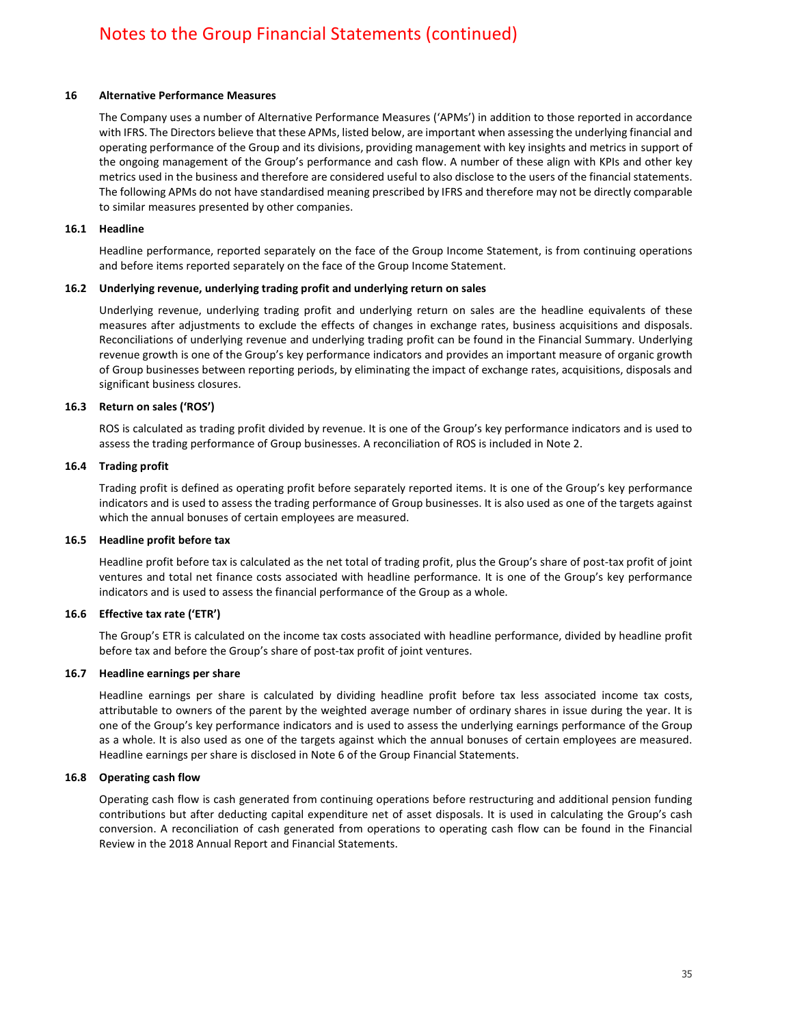### **16 Alternative Performance Measures**

The Company uses a number of Alternative Performance Measures ('APMs') in addition to those reported in accordance with IFRS. The Directors believe that these APMs, listed below, are important when assessing the underlying financial and operating performance of the Group and its divisions, providing management with key insights and metrics in support of the ongoing management of the Group's performance and cash flow. A number of these align with KPIs and other key metrics used in the business and therefore are considered useful to also disclose to the users of the financial statements. The following APMs do not have standardised meaning prescribed by IFRS and therefore may not be directly comparable to similar measures presented by other companies.

### **16.1 Headline**

Headline performance, reported separately on the face of the Group Income Statement, is from continuing operations and before items reported separately on the face of the Group Income Statement.

### **16.2 Underlying revenue, underlying trading profit and underlying return on sales**

Underlying revenue, underlying trading profit and underlying return on sales are the headline equivalents of these measures after adjustments to exclude the effects of changes in exchange rates, business acquisitions and disposals. Reconciliations of underlying revenue and underlying trading profit can be found in the Financial Summary. Underlying revenue growth is one of the Group's key performance indicators and provides an important measure of organic growth of Group businesses between reporting periods, by eliminating the impact of exchange rates, acquisitions, disposals and significant business closures.

### **16.3 Return on sales ('ROS')**

ROS is calculated as trading profit divided by revenue. It is one of the Group's key performance indicators and is used to assess the trading performance of Group businesses. A reconciliation of ROS is included in Note 2.

### **16.4 Trading profit**

Trading profit is defined as operating profit before separately reported items. It is one of the Group's key performance indicators and is used to assess the trading performance of Group businesses. It is also used as one of the targets against which the annual bonuses of certain employees are measured.

### **16.5 Headline profit before tax**

Headline profit before tax is calculated as the net total of trading profit, plus the Group's share of post-tax profit of joint ventures and total net finance costs associated with headline performance. It is one of the Group's key performance indicators and is used to assess the financial performance of the Group as a whole.

### **16.6 Effective tax rate ('ETR')**

The Group's ETR is calculated on the income tax costs associated with headline performance, divided by headline profit before tax and before the Group's share of post-tax profit of joint ventures.

### **16.7 Headline earnings per share**

Headline earnings per share is calculated by dividing headline profit before tax less associated income tax costs, attributable to owners of the parent by the weighted average number of ordinary shares in issue during the year. It is one of the Group's key performance indicators and is used to assess the underlying earnings performance of the Group as a whole. It is also used as one of the targets against which the annual bonuses of certain employees are measured. Headline earnings per share is disclosed in Note 6 of the Group Financial Statements.

### **16.8 Operating cash flow**

Operating cash flow is cash generated from continuing operations before restructuring and additional pension funding contributions but after deducting capital expenditure net of asset disposals. It is used in calculating the Group's cash conversion. A reconciliation of cash generated from operations to operating cash flow can be found in the Financial Review in the 2018 Annual Report and Financial Statements.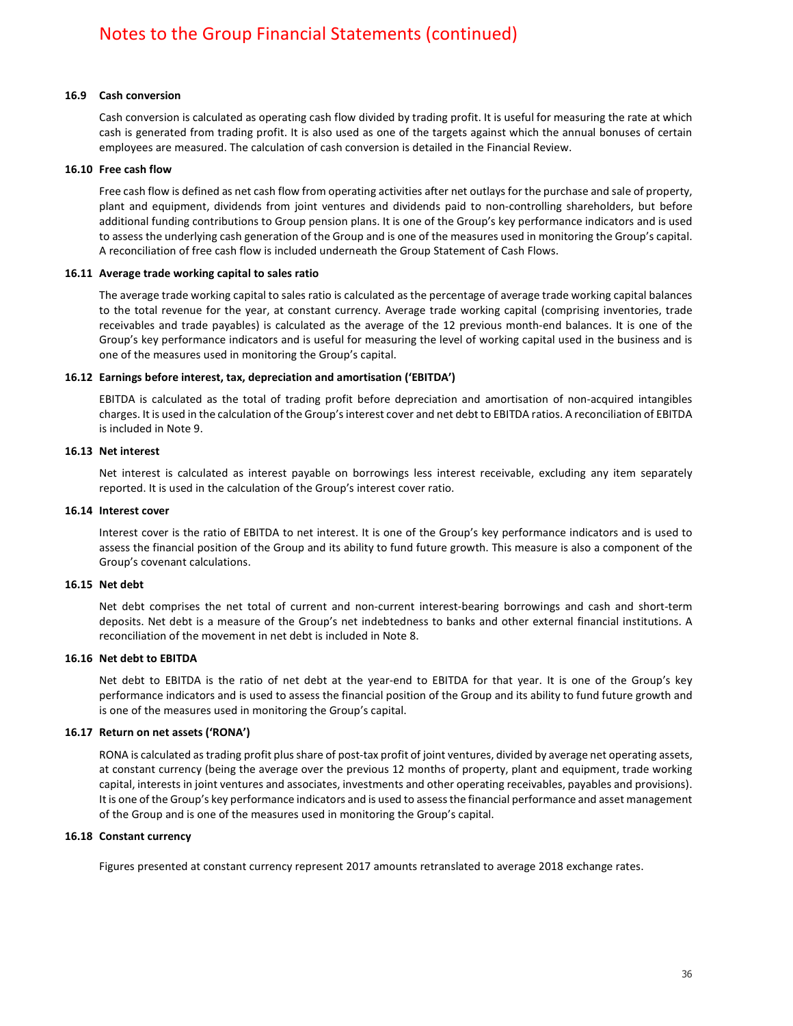### **16.9 Cash conversion**

Cash conversion is calculated as operating cash flow divided by trading profit. It is useful for measuring the rate at which cash is generated from trading profit. It is also used as one of the targets against which the annual bonuses of certain employees are measured. The calculation of cash conversion is detailed in the Financial Review.

#### **16.10 Free cash flow**

Free cash flow is defined as net cash flow from operating activities after net outlays for the purchase and sale of property, plant and equipment, dividends from joint ventures and dividends paid to non-controlling shareholders, but before additional funding contributions to Group pension plans. It is one of the Group's key performance indicators and is used to assess the underlying cash generation of the Group and is one of the measures used in monitoring the Group's capital. A reconciliation of free cash flow is included underneath the Group Statement of Cash Flows.

### **16.11 Average trade working capital to sales ratio**

The average trade working capital to sales ratio is calculated as the percentage of average trade working capital balances to the total revenue for the year, at constant currency. Average trade working capital (comprising inventories, trade receivables and trade payables) is calculated as the average of the 12 previous month-end balances. It is one of the Group's key performance indicators and is useful for measuring the level of working capital used in the business and is one of the measures used in monitoring the Group's capital.

### **16.12 Earnings before interest, tax, depreciation and amortisation ('EBITDA')**

EBITDA is calculated as the total of trading profit before depreciation and amortisation of non-acquired intangibles charges. It is used in the calculation of the Group's interest cover and net debt to EBITDA ratios. A reconciliation of EBITDA is included in Note 9.

### **16.13 Net interest**

Net interest is calculated as interest payable on borrowings less interest receivable, excluding any item separately reported. It is used in the calculation of the Group's interest cover ratio.

#### **16.14 Interest cover**

Interest cover is the ratio of EBITDA to net interest. It is one of the Group's key performance indicators and is used to assess the financial position of the Group and its ability to fund future growth. This measure is also a component of the Group's covenant calculations.

### **16.15 Net debt**

Net debt comprises the net total of current and non-current interest-bearing borrowings and cash and short-term deposits. Net debt is a measure of the Group's net indebtedness to banks and other external financial institutions. A reconciliation of the movement in net debt is included in Note 8.

### **16.16 Net debt to EBITDA**

Net debt to EBITDA is the ratio of net debt at the year-end to EBITDA for that year. It is one of the Group's key performance indicators and is used to assess the financial position of the Group and its ability to fund future growth and is one of the measures used in monitoring the Group's capital.

### **16.17 Return on net assets ('RONA')**

RONA is calculated as trading profit plus share of post-tax profit of joint ventures, divided by average net operating assets, at constant currency (being the average over the previous 12 months of property, plant and equipment, trade working capital, interests in joint ventures and associates, investments and other operating receivables, payables and provisions). It is one of the Group's key performance indicators and is used to assess the financial performance and asset management of the Group and is one of the measures used in monitoring the Group's capital.

#### **16.18 Constant currency**

Figures presented at constant currency represent 2017 amounts retranslated to average 2018 exchange rates.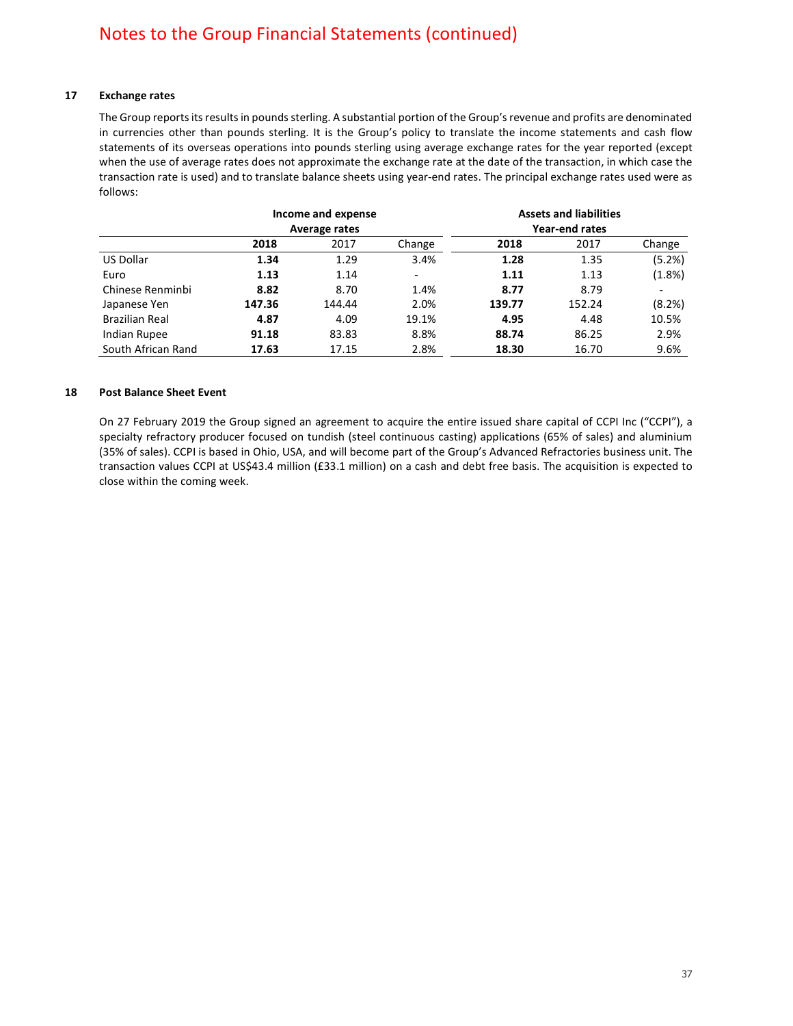### **17 Exchange rates**

The Group reports its results in pounds sterling. A substantial portion of the Group's revenue and profits are denominated in currencies other than pounds sterling. It is the Group's policy to translate the income statements and cash flow statements of its overseas operations into pounds sterling using average exchange rates for the year reported (except when the use of average rates does not approximate the exchange rate at the date of the transaction, in which case the transaction rate is used) and to translate balance sheets using year-end rates. The principal exchange rates used were as follows:

|                       | Income and expense<br>Average rates |        |                          | <b>Assets and liabilities</b><br>Year-end rates |        |        |
|-----------------------|-------------------------------------|--------|--------------------------|-------------------------------------------------|--------|--------|
|                       | 2018                                | 2017   | Change                   | 2018                                            | 2017   | Change |
| US Dollar             | 1.34                                | 1.29   | 3.4%                     | 1.28                                            | 1.35   | (5.2%) |
| Euro                  | 1.13                                | 1.14   | $\overline{\phantom{a}}$ | 1.11                                            | 1.13   | (1.8%) |
| Chinese Renminbi      | 8.82                                | 8.70   | 1.4%                     | 8.77                                            | 8.79   |        |
| Japanese Yen          | 147.36                              | 144.44 | 2.0%                     | 139.77                                          | 152.24 | (8.2%) |
| <b>Brazilian Real</b> | 4.87                                | 4.09   | 19.1%                    | 4.95                                            | 4.48   | 10.5%  |
| Indian Rupee          | 91.18                               | 83.83  | 8.8%                     | 88.74                                           | 86.25  | 2.9%   |
| South African Rand    | 17.63                               | 17.15  | 2.8%                     | 18.30                                           | 16.70  | 9.6%   |

### **18 Post Balance Sheet Event**

On 27 February 2019 the Group signed an agreement to acquire the entire issued share capital of CCPI Inc ("CCPI"), a specialty refractory producer focused on tundish (steel continuous casting) applications (65% of sales) and aluminium (35% of sales). CCPI is based in Ohio, USA, and will become part of the Group's Advanced Refractories business unit. The transaction values CCPI at US\$43.4 million (£33.1 million) on a cash and debt free basis. The acquisition is expected to close within the coming week.